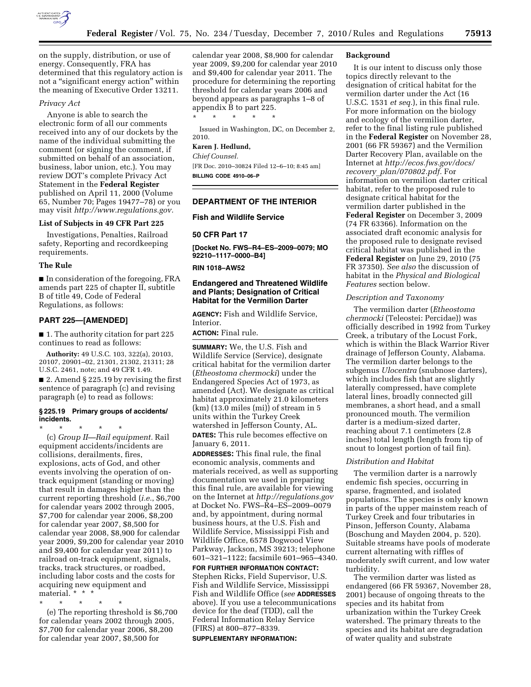

on the supply, distribution, or use of energy. Consequently, FRA has determined that this regulatory action is not a "significant energy action" within the meaning of Executive Order 13211.

## *Privacy Act*

Anyone is able to search the electronic form of all our comments received into any of our dockets by the name of the individual submitting the comment (or signing the comment, if submitted on behalf of an association, business, labor union, etc.). You may review DOT's complete Privacy Act Statement in the **Federal Register**  published on April 11, 2000 (Volume 65, Number 70; Pages 19477–78) or you may visit *[http://www.regulations.gov.](http://www.regulations.gov)* 

## **List of Subjects in 49 CFR Part 225**

Investigations, Penalties, Railroad safety, Reporting and recordkeeping requirements.

### **The Rule**

■ In consideration of the foregoing, FRA amends part 225 of chapter II, subtitle B of title 49, Code of Federal Regulations, as follows:

### **PART 225—[AMENDED]**

■ 1. The authority citation for part 225 continues to read as follows:

**Authority:** 49 U.S.C. 103, 322(a), 20103, 20107, 20901–02, 21301, 21302, 21311; 28 U.S.C. 2461, note; and 49 CFR 1.49.

■ 2. Amend § 225.19 by revising the first sentence of paragraph (c) and revising paragraph (e) to read as follows:

### **§ 225.19 Primary groups of accidents/ incidents.**

\* \* \* \* \* (c) *Group II—Rail equipment.* Rail equipment accidents/incidents are collisions, derailments, fires, explosions, acts of God, and other events involving the operation of ontrack equipment (standing or moving) that result in damages higher than the current reporting threshold (*i.e.*, \$6,700 for calendar years 2002 through 2005, \$7,700 for calendar year 2006, \$8,200 for calendar year 2007, \$8,500 for calendar year 2008, \$8,900 for calendar year 2009, \$9,200 for calendar year 2010 and \$9,400 for calendar year 2011) to railroad on-track equipment, signals, tracks, track structures, or roadbed, including labor costs and the costs for acquiring new equipment and material. \* \* \*

\* \* \* \* \* (e) The reporting threshold is \$6,700 for calendar years 2002 through 2005, \$7,700 for calendar year 2006, \$8,200 for calendar year 2007, \$8,500 for

calendar year 2008, \$8,900 for calendar year 2009, \$9,200 for calendar year 2010 and \$9,400 for calendar year 2011. The procedure for determining the reporting threshold for calendar years 2006 and beyond appears as paragraphs 1–8 of appendix B to part 225.

Issued in Washington, DC, on December 2, 2010.

# **Karen J. Hedlund,**

\* \* \* \* \*

*Chief Counsel.* 

[FR Doc. 2010–30824 Filed 12–6–10; 8:45 am] **BILLING CODE 4910–06–P** 

## **DEPARTMENT OF THE INTERIOR**

## **Fish and Wildlife Service**

**50 CFR Part 17** 

**[Docket No. FWS–R4–ES–2009–0079; MO 92210–1117–0000–B4]** 

**RIN 1018–AW52** 

## **Endangered and Threatened Wildlife and Plants; Designation of Critical Habitat for the Vermilion Darter**

**AGENCY:** Fish and Wildlife Service, Interior.

**ACTION:** Final rule.

**SUMMARY:** We, the U.S. Fish and Wildlife Service (Service), designate critical habitat for the vermilion darter (*Etheostoma chermocki*) under the Endangered Species Act of 1973, as amended (Act). We designate as critical habitat approximately 21.0 kilometers (km) (13.0 miles (mi)) of stream in 5 units within the Turkey Creek watershed in Jefferson County, AL. **DATES:** This rule becomes effective on January 6, 2011.

**ADDRESSES:** This final rule, the final economic analysis, comments and materials received, as well as supporting documentation we used in preparing this final rule, are available for viewing on the Internet at *<http://regulations.gov>* at Docket No. FWS–R4–ES–2009–0079 and, by appointment, during normal business hours, at the U.S. Fish and Wildlife Service, Mississippi Fish and Wildlife Office, 6578 Dogwood View Parkway, Jackson, MS 39213; telephone 601–321–1122; facsimile 601–965–4340.

**FOR FURTHER INFORMATION CONTACT:**  Stephen Ricks, Field Supervisor, U.S. Fish and Wildlife Service, Mississippi Fish and Wildlife Office (*see* **ADDRESSES** above). If you use a telecommunications device for the deaf (TDD), call the Federal Information Relay Service (FIRS) at 800–877–8339.

#### **SUPPLEMENTARY INFORMATION:**

### **Background**

It is our intent to discuss only those topics directly relevant to the designation of critical habitat for the vermilion darter under the Act (16 U.S.C. 1531 *et seq.*), in this final rule. For more information on the biology and ecology of the vermilion darter, refer to the final listing rule published in the **Federal Register** on November 28, 2001 (66 FR 59367) and the Vermilion Darter Recovery Plan, available on the Internet at *[http://ecos.fws.gov/docs/](http://ecos.fws.gov/docs/recovery_plan/070802.pdf) recovery*\_*[plan/070802.pdf.](http://ecos.fws.gov/docs/recovery_plan/070802.pdf)* For information on vermilion darter critical habitat, refer to the proposed rule to designate critical habitat for the vermilion darter published in the **Federal Register** on December 3, 2009 (74 FR 63366). Information on the associated draft economic analysis for the proposed rule to designate revised critical habitat was published in the **Federal Register** on June 29, 2010 (75 FR 37350). *See also* the discussion of habitat in the *Physical and Biological Features* section below.

## *Description and Taxonomy*

The vermilion darter (*Etheostoma chermocki* (Teleostei: Percidae)) was officially described in 1992 from Turkey Creek, a tributary of the Locust Fork, which is within the Black Warrior River drainage of Jefferson County, Alabama. The vermilion darter belongs to the subgenus *Ulocentra* (snubnose darters), which includes fish that are slightly laterally compressed, have complete lateral lines, broadly connected gill membranes, a short head, and a small pronounced mouth. The vermilion darter is a medium-sized darter, reaching about 7.1 centimeters (2.8 inches) total length (length from tip of snout to longest portion of tail fin).

## *Distribution and Habitat*

The vermilion darter is a narrowly endemic fish species, occurring in sparse, fragmented, and isolated populations. The species is only known in parts of the upper mainstem reach of Turkey Creek and four tributaries in Pinson, Jefferson County, Alabama (Boschung and Mayden 2004, p. 520). Suitable streams have pools of moderate current alternating with riffles of moderately swift current, and low water turbidity.

The vermilion darter was listed as endangered (66 FR 59367, November 28, 2001) because of ongoing threats to the species and its habitat from urbanization within the Turkey Creek watershed. The primary threats to the species and its habitat are degradation of water quality and substrate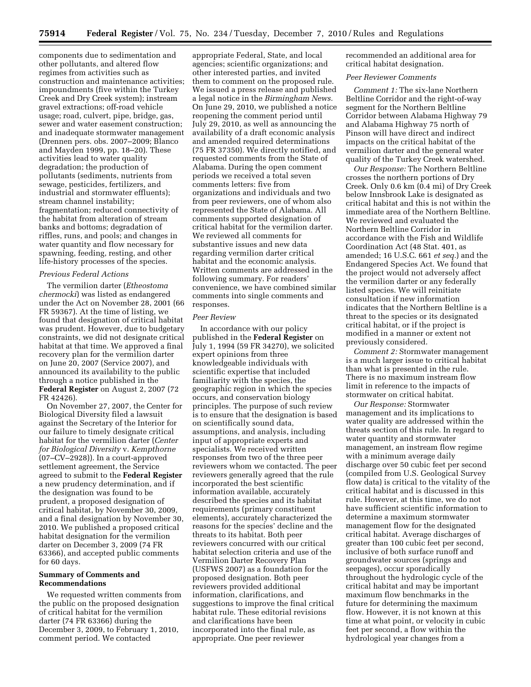components due to sedimentation and other pollutants, and altered flow regimes from activities such as construction and maintenance activities; impoundments (five within the Turkey Creek and Dry Creek system); instream gravel extractions; off-road vehicle usage; road, culvert, pipe, bridge, gas, sewer and water easement construction; and inadequate stormwater management (Drennen pers. obs. 2007–2009; Blanco and Mayden 1999, pp. 18–20). These activities lead to water quality degradation; the production of pollutants (sediments, nutrients from sewage, pesticides, fertilizers, and industrial and stormwater effluents); stream channel instability; fragmentation; reduced connectivity of the habitat from alteration of stream banks and bottoms; degradation of riffles, runs, and pools; and changes in water quantity and flow necessary for spawning, feeding, resting, and other life-history processes of the species.

## *Previous Federal Actions*

The vermilion darter (*Etheostoma chermocki*) was listed as endangered under the Act on November 28, 2001 (66 FR 59367). At the time of listing, we found that designation of critical habitat was prudent. However, due to budgetary constraints, we did not designate critical habitat at that time. We approved a final recovery plan for the vermilion darter on June 20, 2007 (Service 2007), and announced its availability to the public through a notice published in the **Federal Register** on August 2, 2007 (72 FR 42426).

On November 27, 2007, the Center for Biological Diversity filed a lawsuit against the Secretary of the Interior for our failure to timely designate critical habitat for the vermilion darter (*Center for Biological Diversity* v. *Kempthorne*  (07–CV–2928)). In a court-approved settlement agreement, the Service agreed to submit to the **Federal Register**  a new prudency determination, and if the designation was found to be prudent, a proposed designation of critical habitat, by November 30, 2009, and a final designation by November 30, 2010. We published a proposed critical habitat designation for the vermilion darter on December 3, 2009 (74 FR 63366), and accepted public comments for 60 days.

## **Summary of Comments and Recommendations**

We requested written comments from the public on the proposed designation of critical habitat for the vermilion darter (74 FR 63366) during the December 3, 2009, to February 1, 2010, comment period. We contacted

appropriate Federal, State, and local agencies; scientific organizations; and other interested parties, and invited them to comment on the proposed rule. We issued a press release and published a legal notice in the *Birmingham News.*  On June 29, 2010, we published a notice reopening the comment period until July 29, 2010, as well as announcing the availability of a draft economic analysis and amended required determinations (75 FR 37350). We directly notified, and requested comments from the State of Alabama. During the open comment periods we received a total seven comments letters: five from organizations and individuals and two from peer reviewers, one of whom also represented the State of Alabama. All comments supported designation of critical habitat for the vermilion darter. We reviewed all comments for substantive issues and new data regarding vermilion darter critical habitat and the economic analysis. Written comments are addressed in the following summary. For readers' convenience, we have combined similar comments into single comments and responses.

#### *Peer Review*

In accordance with our policy published in the **Federal Register** on July 1, 1994 (59 FR 34270), we solicited expert opinions from three knowledgeable individuals with scientific expertise that included familiarity with the species, the geographic region in which the species occurs, and conservation biology principles. The purpose of such review is to ensure that the designation is based on scientifically sound data, assumptions, and analysis, including input of appropriate experts and specialists. We received written responses from two of the three peer reviewers whom we contacted. The peer reviewers generally agreed that the rule incorporated the best scientific information available, accurately described the species and its habitat requirements (primary constituent elements), accurately characterized the reasons for the species' decline and the threats to its habitat. Both peer reviewers concurred with our critical habitat selection criteria and use of the Vermilion Darter Recovery Plan (USFWS 2007) as a foundation for the proposed designation. Both peer reviewers provided additional information, clarifications, and suggestions to improve the final critical habitat rule. These editorial revisions and clarifications have been incorporated into the final rule, as appropriate. One peer reviewer

recommended an additional area for critical habitat designation.

### *Peer Reviewer Comments*

*Comment 1:* The six-lane Northern Beltline Corridor and the right-of-way segment for the Northern Beltline Corridor between Alabama Highway 79 and Alabama Highway 75 north of Pinson will have direct and indirect impacts on the critical habitat of the vermilion darter and the general water quality of the Turkey Creek watershed.

*Our Response:* The Northern Beltline crosses the northern portions of Dry Creek. Only 0.6 km (0.4 mi) of Dry Creek below Innsbrook Lake is designated as critical habitat and this is not within the immediate area of the Northern Beltline. We reviewed and evaluated the Northern Beltline Corridor in accordance with the Fish and Wildlife Coordination Act (48 Stat. 401, as amended; 16 U.S.C. 661 *et seq.*) and the Endangered Species Act. We found that the project would not adversely affect the vermilion darter or any federally listed species. We will reinitiate consultation if new information indicates that the Northern Beltline is a threat to the species or its designated critical habitat, or if the project is modified in a manner or extent not previously considered.

*Comment 2:* Stormwater management is a much larger issue to critical habitat than what is presented in the rule. There is no maximum instream flow limit in reference to the impacts of stormwater on critical habitat.

*Our Response:* Stormwater management and its implications to water quality are addressed within the threats section of this rule. In regard to water quantity and stormwater management, an instream flow regime with a minimum average daily discharge over 50 cubic feet per second (compiled from U.S. Geological Survey flow data) is critical to the vitality of the critical habitat and is discussed in this rule. However, at this time, we do not have sufficient scientific information to determine a maximum stormwater management flow for the designated critical habitat. Average discharges of greater than 100 cubic feet per second, inclusive of both surface runoff and groundwater sources (springs and seepages), occur sporadically throughout the hydrologic cycle of the critical habitat and may be important maximum flow benchmarks in the future for determining the maximum flow. However, it is not known at this time at what point, or velocity in cubic feet per second, a flow within the hydrological year changes from a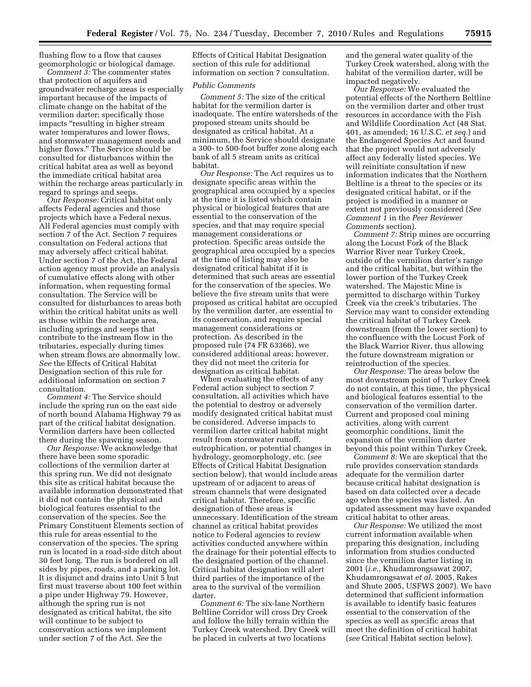flushing flow to a flow that causes geomorphologic or biological damage.

*Comment 3:* The commenter states that protection of aquifers and groundwater recharge areas is especially important because of the impacts of climate change on the habitat of the vermilion darter; specifically those impacts ''resulting in higher stream water temperatures and lower flows, and stormwater management needs and higher flows.'' The Service should be consulted for disturbances within the critical habitat area as well as beyond the immediate critical habitat area within the recharge areas particularly in regard to springs and seeps.

*Our Response:* Critical habitat only affects Federal agencies and those projects which have a Federal nexus. All Federal agencies must comply with section 7 of the Act. Section 7 requires consultation on Federal actions that may adversely affect critical habitat. Under section 7 of the Act, the Federal action agency must provide an analysis of cumulative effects along with other information, when requesting formal consultation. The Service will be consulted for disturbances to areas both within the critical habitat units as well as those within the recharge area, including springs and seeps that contribute to the instream flow in the tributaries, especially during times when stream flows are abnormally low. *See* the Effects of Critical Habitat Designation section of this rule for additional information on section 7 consultation.

*Comment 4:* The Service should include the spring run on the east side of north bound Alabama Highway 79 as part of the critical habitat designation. Vermilion darters have been collected there during the spawning season.

*Our Response:* We acknowledge that there have been some sporadic collections of the vermilion darter at this spring run. We did not designate this site as critical habitat because the available information demonstrated that it did not contain the physical and biological features essential to the conservation of the species. See the Primary Constituent Elements section of this rule for areas essential to the conservation of the species. The spring run is located in a road-side ditch about 30 feet long. The run is bordered on all sides by pipes, roads, and a parking lot. It is disjunct and drains into Unit 5 but first must traverse about 100 feet within a pipe under Highway 79. However, although the spring run is not designated as critical habitat, the site will continue to be subject to conservation actions we implement under section 7 of the Act. *See* the

Effects of Critical Habitat Designation section of this rule for additional information on section 7 consultation.

## *Public Comments*

*Comment 5:* The size of the critical habitat for the vermilion darter is inadequate. The entire watersheds of the proposed stream units should be designated as critical habitat. At a minimum, the Service should designate a 300- to 500-foot buffer zone along each bank of all 5 stream units as critical habitat.

*Our Response:* The Act requires us to designate specific areas within the geographical area occupied by a species at the time it is listed which contain physical or biological features that are essential to the conservation of the species, and that may require special management considerations or protection. Specific areas outside the geographical area occupied by a species at the time of listing may also be designated critical habitat if it is determined that such areas are essential for the conservation of the species. We believe the five stream units that were proposed as critical habitat are occupied by the vermilion darter, are essential to its conservation, and require special management considerations or protection. As described in the proposed rule (74 FR 63366), we considered additional areas; however, they did not meet the criteria for designation as critical habitat.

When evaluating the effects of any Federal action subject to section 7 consultation, all activities which have the potential to destroy or adversely modify designated critical habitat must be considered. Adverse impacts to vermilion darter critical habitat might result from stormwater runoff, eutrophication, or potential changes in hydrology, geomorphology, etc. (*see*  Effects of Critical Habitat Designation section below), that would include areas upstream of or adjacent to areas of stream channels that were designated critical habitat. Therefore, specific designation of these areas is unnecessary. Identification of the stream channel as critical habitat provides notice to Federal agencies to review activities conducted anywhere within the drainage for their potential effects to the designated portion of the channel. Critical habitat designation will alert third parties of the importance of the area to the survival of the vermilion darter.

*Comment 6:* The six-lane Northern Beltline Corridor will cross Dry Creek and follow the hilly terrain within the Turkey Creek watershed. Dry Creek will be placed in culverts at two locations

and the general water quality of the Turkey Creek watershed, along with the habitat of the vermilion darter, will be impacted negatively.

*Our Response:* We evaluated the potential effects of the Northern Beltline on the vermilion darter and other trust resources in accordance with the Fish and Wildlife Coordination Act (48 Stat. 401, as amended; 16 U.S.C. *et seq.*) and the Endangered Species Act and found that the project would not adversely affect any federally listed species. We will reinitiate consultation if new information indicates that the Northern Beltline is a threat to the species or its designated critical habitat, or if the project is modified in a manner or extent not previously considered (*See Comment 1* in the *Peer Reviewer Comments* section).

*Comment 7:* Strip mines are occurring along the Locust Fork of the Black Warrior River near Turkey Creek, outside of the vermilion darter's range and the critical habitat, but within the lower portion of the Turkey Creek watershed. The Majestic Mine is permitted to discharge within Turkey Creek via the creek's tributaries. The Service may want to consider extending the critical habitat of Turkey Creek downstream (from the lower section) to the confluence with the Locust Fork of the Black Warrior River, thus allowing the future downstream migration or reintroduction of the species.

*Our Response:* The areas below the most downstream point of Turkey Creek do not contain, at this time, the physical and biological features essential to the conservation of the vermilion darter. Current and proposed coal mining activities, along with current geomorphic conditions, limit the expansion of the vermilion darter beyond this point within Turkey Creek.

*Comment 8:* We are skeptical that the rule provides conservation standards adequate for the vermilion darter because critical habitat designation is based on data collected over a decade ago when the species was listed. An updated assessment may have expanded critical habitat to other areas.

*Our Response:* We utilized the most current information available when preparing this designation, including information from studies conducted since the vermilion darter listing in 2001 (*i.e.,* Khudamrongsawat 2007, Khudamrongsawat *et al.* 2005, Rakes and Shute 2005, USFWS 2007). We have determined that sufficient information is available to identify basic features essential to the conservation of the species as well as specific areas that meet the definition of critical habitat (*see* Critical Habitat section below).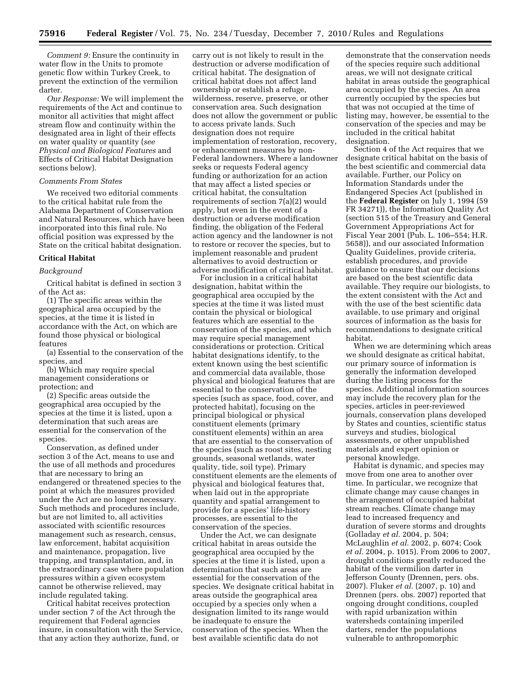*Comment 9:* Ensure the continuity in water flow in the Units to promote genetic flow within Turkey Creek, to prevent the extinction of the vermilion darter.

*Our Response:* We will implement the requirements of the Act and continue to monitor all activities that might affect stream flow and continuity within the designated area in light of their effects on water quality or quantity (*see Physical and Biological Features* and Effects of Critical Habitat Designation sections below).

## *Comments From States*

We received two editorial comments to the critical habitat rule from the Alabama Department of Conservation and Natural Resources, which have been incorporated into this final rule. No official position was expressed by the State on the critical habitat designation.

## **Critical Habitat**

#### *Background*

Critical habitat is defined in section 3 of the Act as:

(1) The specific areas within the geographical area occupied by the species, at the time it is listed in accordance with the Act, on which are found those physical or biological features

(a) Essential to the conservation of the species, and

(b) Which may require special management considerations or protection; and

(2) Specific areas outside the geographical area occupied by the species at the time it is listed, upon a determination that such areas are essential for the conservation of the species.

Conservation, as defined under section 3 of the Act, means to use and the use of all methods and procedures that are necessary to bring an endangered or threatened species to the point at which the measures provided under the Act are no longer necessary. Such methods and procedures include, but are not limited to, all activities associated with scientific resources management such as research, census, law enforcement, habitat acquisition and maintenance, propagation, live trapping, and transplantation, and, in the extraordinary case where population pressures within a given ecosystem cannot be otherwise relieved, may include regulated taking.

Critical habitat receives protection under section 7 of the Act through the requirement that Federal agencies insure, in consultation with the Service, that any action they authorize, fund, or

carry out is not likely to result in the destruction or adverse modification of critical habitat. The designation of critical habitat does not affect land ownership or establish a refuge, wilderness, reserve, preserve, or other conservation area. Such designation does not allow the government or public to access private lands. Such designation does not require implementation of restoration, recovery, or enhancement measures by non-Federal landowners. Where a landowner seeks or requests Federal agency funding or authorization for an action that may affect a listed species or critical habitat, the consultation requirements of section 7(a)(2) would apply, but even in the event of a destruction or adverse modification finding, the obligation of the Federal action agency and the landowner is not to restore or recover the species, but to implement reasonable and prudent alternatives to avoid destruction or adverse modification of critical habitat.

For inclusion in a critical habitat designation, habitat within the geographical area occupied by the species at the time it was listed must contain the physical or biological features which are essential to the conservation of the species, and which may require special management considerations or protection. Critical habitat designations identify, to the extent known using the best scientific and commercial data available, those physical and biological features that are essential to the conservation of the species (such as space, food, cover, and protected habitat), focusing on the principal biological or physical constituent elements (primary constituent elements) within an area that are essential to the conservation of the species (such as roost sites, nesting grounds, seasonal wetlands, water quality, tide, soil type). Primary constituent elements are the elements of physical and biological features that, when laid out in the appropriate quantity and spatial arrangement to provide for a species' life-history processes, are essential to the conservation of the species.

Under the Act, we can designate critical habitat in areas outside the geographical area occupied by the species at the time it is listed, upon a determination that such areas are essential for the conservation of the species. We designate critical habitat in areas outside the geographical area occupied by a species only when a designation limited to its range would be inadequate to ensure the conservation of the species. When the best available scientific data do not

demonstrate that the conservation needs of the species require such additional areas, we will not designate critical habitat in areas outside the geographical area occupied by the species. An area currently occupied by the species but that was not occupied at the time of listing may, however, be essential to the conservation of the species and may be included in the critical habitat designation.

Section 4 of the Act requires that we designate critical habitat on the basis of the best scientific and commercial data available. Further, our Policy on Information Standards under the Endangered Species Act (published in the **Federal Register** on July 1, 1994 (59 FR 34271)), the Information Quality Act (section 515 of the Treasury and General Government Appropriations Act for Fiscal Year 2001 (Pub. L. 106–554; H.R. 5658)), and our associated Information Quality Guidelines, provide criteria, establish procedures, and provide guidance to ensure that our decisions are based on the best scientific data available. They require our biologists, to the extent consistent with the Act and with the use of the best scientific data available, to use primary and original sources of information as the basis for recommendations to designate critical habitat.

When we are determining which areas we should designate as critical habitat, our primary source of information is generally the information developed during the listing process for the species. Additional information sources may include the recovery plan for the species, articles in peer-reviewed journals, conservation plans developed by States and counties, scientific status surveys and studies, biological assessments, or other unpublished materials and expert opinion or personal knowledge.

Habitat is dynamic, and species may move from one area to another over time. In particular, we recognize that climate change may cause changes in the arrangement of occupied habitat stream reaches. Climate change may lead to increased frequency and duration of severe storms and droughts (Golladay *et al.* 2004, p. 504; McLaughlin *et al.* 2002, p. 6074; Cook *et al.* 2004, p. 1015). From 2006 to 2007, drought conditions greatly reduced the habitat of the vermilion darter in Jefferson County (Drennen, pers. obs. 2007). Fluker *et al.* (2007, p. 10) and Drennen (pers. obs. 2007) reported that ongoing drought conditions, coupled with rapid urbanization within watersheds containing imperiled darters, render the populations vulnerable to anthropomorphic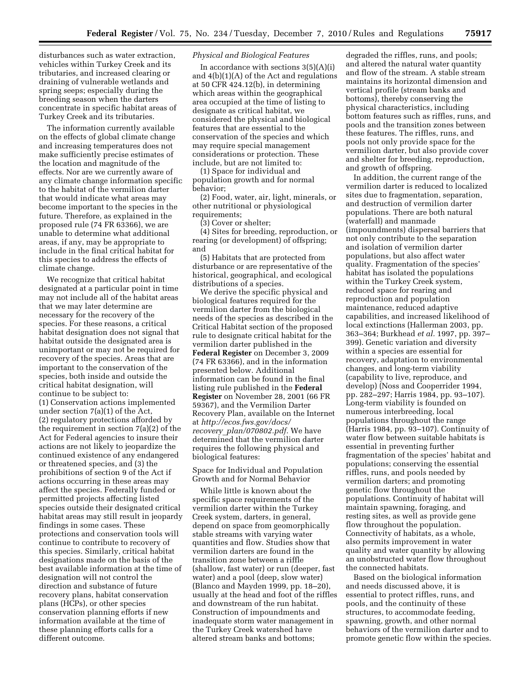disturbances such as water extraction, vehicles within Turkey Creek and its tributaries, and increased clearing or draining of vulnerable wetlands and spring seeps; especially during the breeding season when the darters concentrate in specific habitat areas of Turkey Creek and its tributaries.

The information currently available on the effects of global climate change and increasing temperatures does not make sufficiently precise estimates of the location and magnitude of the effects. Nor are we currently aware of any climate change information specific to the habitat of the vermilion darter that would indicate what areas may become important to the species in the future. Therefore, as explained in the proposed rule (74 FR 63366), we are unable to determine what additional areas, if any, may be appropriate to include in the final critical habitat for this species to address the effects of climate change.

We recognize that critical habitat designated at a particular point in time may not include all of the habitat areas that we may later determine are necessary for the recovery of the species. For these reasons, a critical habitat designation does not signal that habitat outside the designated area is unimportant or may not be required for recovery of the species. Areas that are important to the conservation of the species, both inside and outside the critical habitat designation, will continue to be subject to:

(1) Conservation actions implemented under section 7(a)(1) of the Act, (2) regulatory protections afforded by the requirement in section 7(a)(2) of the Act for Federal agencies to insure their actions are not likely to jeopardize the continued existence of any endangered or threatened species, and (3) the prohibitions of section 9 of the Act if actions occurring in these areas may affect the species. Federally funded or permitted projects affecting listed species outside their designated critical habitat areas may still result in jeopardy findings in some cases. These protections and conservation tools will continue to contribute to recovery of this species. Similarly, critical habitat designations made on the basis of the best available information at the time of designation will not control the direction and substance of future recovery plans, habitat conservation plans (HCPs), or other species conservation planning efforts if new information available at the time of these planning efforts calls for a different outcome.

### *Physical and Biological Features*

In accordance with sections  $3(5)(A)(i)$ and 4(b)(1)(A) of the Act and regulations at 50 CFR 424.12(b), in determining which areas within the geographical area occupied at the time of listing to designate as critical habitat, we considered the physical and biological features that are essential to the conservation of the species and which may require special management considerations or protection. These include, but are not limited to:

(1) Space for individual and population growth and for normal behavior;

(2) Food, water, air, light, minerals, or other nutritional or physiological requirements;

(3) Cover or shelter;

(4) Sites for breeding, reproduction, or rearing (or development) of offspring; and

(5) Habitats that are protected from disturbance or are representative of the historical, geographical, and ecological distributions of a species.

We derive the specific physical and biological features required for the vermilion darter from the biological needs of the species as described in the Critical Habitat section of the proposed rule to designate critical habitat for the vermilion darter published in the **Federal Register** on December 3, 2009 (74 FR 63366), and in the information presented below. Additional information can be found in the final listing rule published in the **Federal Register** on November 28, 2001 (66 FR 59367), and the Vermilion Darter Recovery Plan, available on the Internet at *[http://ecos.fws.gov/docs/](http://ecos.fws.gov/docs/recovery_plan/070802.pdf) recovery*\_*[plan/070802.pdf.](http://ecos.fws.gov/docs/recovery_plan/070802.pdf)* We have determined that the vermilion darter requires the following physical and biological features:

Space for Individual and Population Growth and for Normal Behavior

While little is known about the specific space requirements of the vermilion darter within the Turkey Creek system, darters, in general, depend on space from geomorphically stable streams with varying water quantities and flow. Studies show that vermilion darters are found in the transition zone between a riffle (shallow, fast water) or run (deeper, fast water) and a pool (deep, slow water) (Blanco and Mayden 1999, pp. 18–20), usually at the head and foot of the riffles and downstream of the run habitat. Construction of impoundments and inadequate storm water management in the Turkey Creek watershed have altered stream banks and bottoms;

degraded the riffles, runs, and pools; and altered the natural water quantity and flow of the stream. A stable stream maintains its horizontal dimension and vertical profile (stream banks and bottoms), thereby conserving the physical characteristics, including bottom features such as riffles, runs, and pools and the transition zones between these features. The riffles, runs, and pools not only provide space for the vermilion darter, but also provide cover and shelter for breeding, reproduction, and growth of offspring.

In addition, the current range of the vermilion darter is reduced to localized sites due to fragmentation, separation, and destruction of vermilion darter populations. There are both natural (waterfall) and manmade (impoundments) dispersal barriers that not only contribute to the separation and isolation of vermilion darter populations, but also affect water quality. Fragmentation of the species' habitat has isolated the populations within the Turkey Creek system, reduced space for rearing and reproduction and population maintenance, reduced adaptive capabilities, and increased likelihood of local extinctions (Hallerman 2003, pp. 363–364; Burkhead *et al.* 1997, pp. 397– 399). Genetic variation and diversity within a species are essential for recovery, adaptation to environmental changes, and long-term viability (capability to live, reproduce, and develop) (Noss and Cooperrider 1994, pp. 282–297; Harris 1984, pp. 93–107). Long-term viability is founded on numerous interbreeding, local populations throughout the range (Harris 1984, pp. 93–107). Continuity of water flow between suitable habitats is essential in preventing further fragmentation of the species' habitat and populations; conserving the essential riffles, runs, and pools needed by vermilion darters; and promoting genetic flow throughout the populations. Continuity of habitat will maintain spawning, foraging, and resting sites, as well as provide gene flow throughout the population. Connectivity of habitats, as a whole, also permits improvement in water quality and water quantity by allowing an unobstructed water flow throughout the connected habitats.

Based on the biological information and needs discussed above, it is essential to protect riffles, runs, and pools, and the continuity of these structures, to accommodate feeding, spawning, growth, and other normal behaviors of the vermilion darter and to promote genetic flow within the species.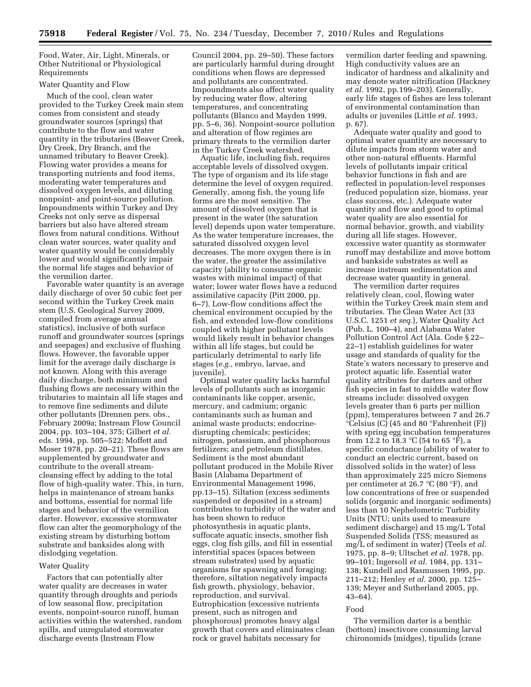Food, Water, Air, Light, Minerals, or Other Nutritional or Physiological Requirements

## Water Quantity and Flow

Much of the cool, clean water provided to the Turkey Creek main stem comes from consistent and steady groundwater sources (springs) that contribute to the flow and water quantity in the tributaries (Beaver Creek, Dry Creek, Dry Branch, and the unnamed tributary to Beaver Creek). Flowing water provides a means for transporting nutrients and food items, moderating water temperatures and dissolved oxygen levels, and diluting nonpoint- and point-source pollution. Impoundments within Turkey and Dry Creeks not only serve as dispersal barriers but also have altered stream flows from natural conditions. Without clean water sources, water quality and water quantity would be considerably lower and would significantly impair the normal life stages and behavior of the vermilion darter.

Favorable water quantity is an average daily discharge of over 50 cubic feet per second within the Turkey Creek main stem (U.S. Geological Survey 2009, compiled from average annual statistics), inclusive of both surface runoff and groundwater sources (springs and seepages) and exclusive of flushing flows. However, the favorable upper limit for the average daily discharge is not known. Along with this average daily discharge, both minimum and flushing flows are necessary within the tributaries to maintain all life stages and to remove fine sediments and dilute other pollutants (Drennen pers. obs., February 2009a; Instream Flow Council 2004, pp. 103–104, 375; Gilbert *et al.*  eds. 1994, pp. 505–522; Moffett and Moser 1978, pp. 20–21). These flows are supplemented by groundwater and contribute to the overall streamcleansing effect by adding to the total flow of high-quality water. This, in turn, helps in maintenance of stream banks and bottoms, essential for normal life stages and behavior of the vermilion darter. However, excessive stormwater flow can alter the geomorphology of the existing stream by disturbing bottom substrate and banksides along with dislodging vegetation.

### Water Quality

Factors that can potentially alter water quality are decreases in water quantity through droughts and periods of low seasonal flow, precipitation events, nonpoint-source runoff, human activities within the watershed, random spills, and unregulated stormwater discharge events (Instream Flow

Council 2004, pp. 29–50). These factors are particularly harmful during drought conditions when flows are depressed and pollutants are concentrated. Impoundments also affect water quality by reducing water flow, altering temperatures, and concentrating pollutants (Blanco and Mayden 1999, pp. 5–6, 36). Nonpoint-source pollution and alteration of flow regimes are primary threats to the vermilion darter in the Turkey Creek watershed.

Aquatic life, including fish, requires acceptable levels of dissolved oxygen. The type of organism and its life stage determine the level of oxygen required. Generally, among fish, the young life forms are the most sensitive. The amount of dissolved oxygen that is present in the water (the saturation level) depends upon water temperature. As the water temperature increases, the saturated dissolved oxygen level decreases. The more oxygen there is in the water, the greater the assimilative capacity (ability to consume organic wastes with minimal impact) of that water; lower water flows have a reduced assimilative capacity (Pitt 2000, pp. 6–7). Low-flow conditions affect the chemical environment occupied by the fish, and extended low-flow conditions coupled with higher pollutant levels would likely result in behavior changes within all life stages, but could be particularly detrimental to early life stages (*e.g.,* embryo, larvae, and juvenile).

Optimal water quality lacks harmful levels of pollutants such as inorganic contaminants like copper, arsenic, mercury, and cadmium; organic contaminants such as human and animal waste products; endocrinedisrupting chemicals; pesticides; nitrogen, potassium, and phosphorous fertilizers; and petroleum distillates. Sediment is the most abundant pollutant produced in the Mobile River Basin (Alabama Department of Environmental Management 1996, pp.13–15). Siltation (excess sediments suspended or deposited in a stream) contributes to turbidity of the water and has been shown to reduce photosynthesis in aquatic plants, suffocate aquatic insects, smother fish eggs, clog fish gills, and fill in essential interstitial spaces (spaces between stream substrates) used by aquatic organisms for spawning and foraging; therefore, siltation negatively impacts fish growth, physiology, behavior, reproduction, and survival. Eutrophication (excessive nutrients present, such as nitrogen and phosphorous) promotes heavy algal growth that covers and eliminates clean rock or gravel habitats necessary for

vermilion darter feeding and spawning. High conductivity values are an indicator of hardness and alkalinity and may denote water nitrification (Hackney *et al.* 1992, pp.199–203). Generally, early life stages of fishes are less tolerant of environmental contamination than adults or juveniles (Little *et al.* 1993, p. 67).

Adequate water quality and good to optimal water quantity are necessary to dilute impacts from storm water and other non-natural effluents. Harmful levels of pollutants impair critical behavior functions in fish and are reflected in population-level responses (reduced population size, biomass, year class success, etc.). Adequate water quantity and flow and good to optimal water quality are also essential for normal behavior, growth, and viability during all life stages. However, excessive water quantity as stormwater runoff may destabilize and move bottom and bankside substrates as well as increase instream sedimentation and decrease water quantity in general.

The vermilion darter requires relatively clean, cool, flowing water within the Turkey Creek main stem and tributaries. The Clean Water Act (33 U.S.C. 1251 *et seq.*), Water Quality Act (Pub. L. 100–4), and Alabama Water Pollution Control Act (Ala. Code § 22– 22–1) establish guidelines for water usage and standards of quality for the State's waters necessary to preserve and protect aquatic life. Essential water quality attributes for darters and other fish species in fast to middle water flow streams include: dissolved oxygen levels greater than 6 parts per million (ppm), temperatures between 7 and 26.7  $\overline{°C}$ elsius (C) (45 and 80  $\overline{°F}$ ahrenheit (F)) with spring egg incubation temperatures from 12.2 to 18.3  $^{\circ}$ C (54 to 65  $^{\circ}$ F), a specific conductance (ability of water to conduct an electric current, based on dissolved solids in the water) of less than approximately 225 micro Siemens per centimeter at 26.7 °C (80 °F), and low concentrations of free or suspended solids (organic and inorganic sediments) less than 10 Nephelometric Turbidity Units (NTU; units used to measure sediment discharge) and 15 mg/L Total Suspended Solids (TSS; measured as mg/L of sediment in water) (Teels *et al.*  1975, pp. 8–9; Ultschet *et al.* 1978, pp. 99–101; Ingersoll *et al.* 1984, pp. 131– 138; Kundell and Rasmussen 1995, pp. 211–212; Henley *et al.* 2000, pp. 125– 139; Meyer and Sutherland 2005, pp. 43–64).

### Food

The vermilion darter is a benthic (bottom) insectivore consuming larval chironomids (midges), tipulids (crane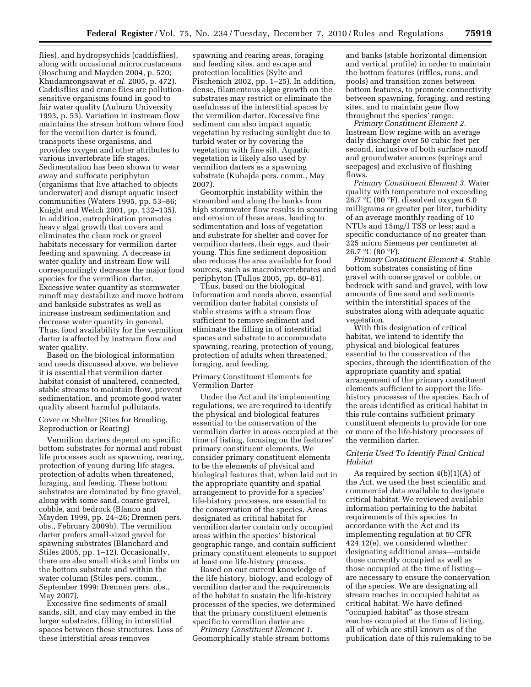flies), and hydropsychids (caddisflies), along with occasional microcrustaceans (Boschung and Mayden 2004, p. 520; Khudamrongsawat *et al.* 2005, p. 472). Caddisflies and crane flies are pollutionsensitive organisms found in good to fair water quality (Auburn University 1993, p. 53). Variation in instream flow maintains the stream bottom where food for the vermilion darter is found, transports these organisms, and provides oxygen and other attributes to various invertebrate life stages. Sedimentation has been shown to wear away and suffocate periphyton (organisms that live attached to objects underwater) and disrupt aquatic insect communities (Waters 1995, pp. 53–86; Knight and Welch 2001, pp. 132–135). In addition, eutrophication promotes heavy algal growth that covers and eliminates the clean rock or gravel habitats necessary for vermilion darter feeding and spawning. A decrease in water quality and instream flow will correspondingly decrease the major food species for the vermilion darter. Excessive water quantity as stormwater runoff may destabilize and move bottom and bankside substrates as well as increase instream sedimentation and decrease water quantity in general. Thus, food availability for the vermilion darter is affected by instream flow and water quality.

Based on the biological information and needs discussed above, we believe it is essential that vermilion darter habitat consist of unaltered, connected, stable streams to maintain flow, prevent sedimentation, and promote good water quality absent harmful pollutants.

Cover or Shelter (Sites for Breeding, Reproduction or Rearing)

Vermilion darters depend on specific bottom substrates for normal and robust life processes such as spawning, rearing, protection of young during life stages, protection of adults when threatened, foraging, and feeding. These bottom substrates are dominated by fine gravel, along with some sand, coarse gravel, cobble, and bedrock (Blanco and Mayden 1999, pp. 24–26; Drennen pers. obs., February 2009b). The vermilion darter prefers small-sized gravel for spawning substrates (Blanchard and Stiles 2005, pp. 1–12). Occasionally, there are also small sticks and limbs on the bottom substrate and within the water column (Stiles pers. comm., September 1999; Drennen pers. obs., May 2007).

Excessive fine sediments of small sands, silt, and clay may embed in the larger substrates, filling in interstitial spaces between these structures. Loss of these interstitial areas removes

spawning and rearing areas, foraging and feeding sites, and escape and protection localities (Sylte and Fischenich 2002, pp. 1–25). In addition, dense, filamentous algae growth on the substrates may restrict or eliminate the usefulness of the interstitial spaces by the vermilion darter. Excessive fine sediment can also impact aquatic vegetation by reducing sunlight due to turbid water or by covering the vegetation with fine silt. Aquatic vegetation is likely also used by vermilion darters as a spawning substrate (Kuhajda pers. comm., May 2007).

Geomorphic instability within the streambed and along the banks from high stormwater flow results in scouring and erosion of these areas, leading to sedimentation and loss of vegetation and substrate for shelter and cover for vermilion darters, their eggs, and their young. This fine sediment deposition also reduces the area available for food sources, such as macroinvertebrates and periphyton (Tullos 2005, pp. 80–81).

Thus, based on the biological information and needs above, essential vermilion darter habitat consists of stable streams with a stream flow sufficient to remove sediment and eliminate the filling in of interstitial spaces and substrate to accommodate spawning, rearing, protection of young, protection of adults when threatened, foraging, and feeding.

## Primary Constituent Elements for Vermilion Darter

Under the Act and its implementing regulations, we are required to identify the physical and biological features essential to the conservation of the vermilion darter in areas occupied at the time of listing, focusing on the features' primary constituent elements. We consider primary constituent elements to be the elements of physical and biological features that, when laid out in the appropriate quantity and spatial arrangement to provide for a species' life-history processes, are essential to the conservation of the species. Areas designated as critical habitat for vermilion darter contain only occupied areas within the species' historical geographic range, and contain sufficient primary constituent elements to support at least one life-history process.

Based on our current knowledge of the life history, biology, and ecology of vermilion darter and the requirements of the habitat to sustain the life-history processes of the species, we determined that the primary constituent elements specific to vermilion darter are:

*Primary Constituent Element 1.*  Geomorphically stable stream bottoms and banks (stable horizontal dimension and vertical profile) in order to maintain the bottom features (riffles, runs, and pools) and transition zones between bottom features, to promote connectivity between spawning, foraging, and resting sites, and to maintain gene flow throughout the species' range.

*Primary Constituent Element 2.*  Instream flow regime with an average daily discharge over 50 cubic feet per second, inclusive of both surface runoff and groundwater sources (springs and seepages) and exclusive of flushing flows.

*Primary Constituent Element 3.* Water quality with temperature not exceeding 26.7 °C (80 °F), dissolved oxygen 6.0 milligrams or greater per liter, turbidity of an average monthly reading of 10 NTUs and 15mg/l TSS or less; and a specific conductance of no greater than 225 micro Siemens per centimeter at 26.7 °C (80 °F).

*Primary Constituent Element 4.* Stable bottom substrates consisting of fine gravel with coarse gravel or cobble, or bedrock with sand and gravel, with low amounts of fine sand and sediments within the interstitial spaces of the substrates along with adequate aquatic vegetation.

With this designation of critical habitat, we intend to identify the physical and biological features essential to the conservation of the species, through the identification of the appropriate quantity and spatial arrangement of the primary constituent elements sufficient to support the lifehistory processes of the species. Each of the areas identified as critical habitat in this rule contains sufficient primary constituent elements to provide for one or more of the life-history processes of the vermilion darter.

## *Criteria Used To Identify Final Critical Habitat*

As required by section 4(b)(1)(A) of the Act, we used the best scientific and commercial data available to designate critical habitat. We reviewed available information pertaining to the habitat requirements of this species. In accordance with the Act and its implementing regulation at 50 CFR 424.12(e), we considered whether designating additional areas—outside those currently occupied as well as those occupied at the time of listing are necessary to ensure the conservation of the species. We are designating all stream reaches in occupied habitat as critical habitat. We have defined "occupied habitat" as those stream reaches occupied at the time of listing, all of which are still known as of the publication date of this rulemaking to be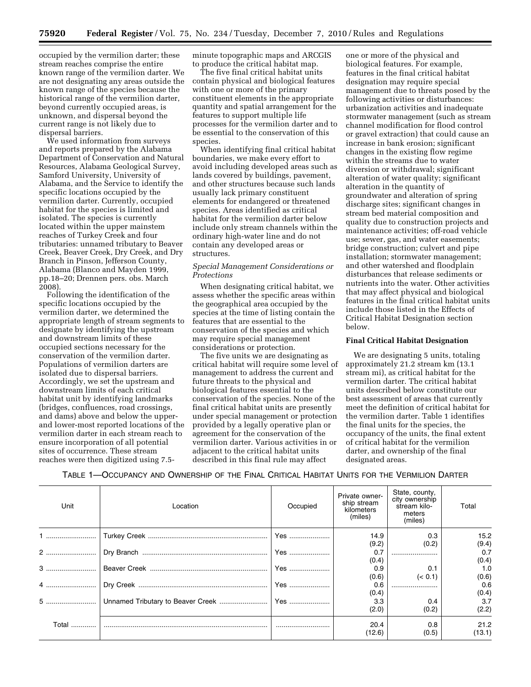occupied by the vermilion darter; these stream reaches comprise the entire known range of the vermilion darter. We are not designating any areas outside the known range of the species because the historical range of the vermilion darter, beyond currently occupied areas, is unknown, and dispersal beyond the current range is not likely due to dispersal barriers.

We used information from surveys and reports prepared by the Alabama Department of Conservation and Natural Resources, Alabama Geological Survey, Samford University, University of Alabama, and the Service to identify the specific locations occupied by the vermilion darter. Currently, occupied habitat for the species is limited and isolated. The species is currently located within the upper mainstem reaches of Turkey Creek and four tributaries: unnamed tributary to Beaver Creek, Beaver Creek, Dry Creek, and Dry Branch in Pinson, Jefferson County, Alabama (Blanco and Mayden 1999, pp.18–20; Drennen pers. obs. March 2008).

Following the identification of the specific locations occupied by the vermilion darter, we determined the appropriate length of stream segments to designate by identifying the upstream and downstream limits of these occupied sections necessary for the conservation of the vermilion darter. Populations of vermilion darters are isolated due to dispersal barriers. Accordingly, we set the upstream and downstream limits of each critical habitat unit by identifying landmarks (bridges, confluences, road crossings, and dams) above and below the upperand lower-most reported locations of the vermilion darter in each stream reach to ensure incorporation of all potential sites of occurrence. These stream reaches were then digitized using 7.5minute topographic maps and ARCGIS to produce the critical habitat map.

The five final critical habitat units contain physical and biological features with one or more of the primary constituent elements in the appropriate quantity and spatial arrangement for the features to support multiple life processes for the vermilion darter and to be essential to the conservation of this species.

When identifying final critical habitat boundaries, we make every effort to avoid including developed areas such as lands covered by buildings, pavement, and other structures because such lands usually lack primary constituent elements for endangered or threatened species. Areas identified as critical habitat for the vermilion darter below include only stream channels within the ordinary high-water line and do not contain any developed areas or structures.

## *Special Management Considerations or Protections*

When designating critical habitat, we assess whether the specific areas within the geographical area occupied by the species at the time of listing contain the features that are essential to the conservation of the species and which may require special management considerations or protection.

The five units we are designating as critical habitat will require some level of management to address the current and future threats to the physical and biological features essential to the conservation of the species. None of the final critical habitat units are presently under special management or protection provided by a legally operative plan or agreement for the conservation of the vermilion darter. Various activities in or adjacent to the critical habitat units described in this final rule may affect

one or more of the physical and biological features. For example, features in the final critical habitat designation may require special management due to threats posed by the following activities or disturbances: urbanization activities and inadequate stormwater management (such as stream channel modification for flood control or gravel extraction) that could cause an increase in bank erosion; significant changes in the existing flow regime within the streams due to water diversion or withdrawal; significant alteration of water quality; significant alteration in the quantity of groundwater and alteration of spring discharge sites; significant changes in stream bed material composition and quality due to construction projects and maintenance activities; off-road vehicle use; sewer, gas, and water easements; bridge construction; culvert and pipe installation; stormwater management; and other watershed and floodplain disturbances that release sediments or nutrients into the water. Other activities that may affect physical and biological features in the final critical habitat units include those listed in the Effects of Critical Habitat Designation section below.

### **Final Critical Habitat Designation**

We are designating 5 units, totaling approximately 21.2 stream km (13.1 stream mi), as critical habitat for the vermilion darter. The critical habitat units described below constitute our best assessment of areas that currently meet the definition of critical habitat for the vermilion darter. Table 1 identifies the final units for the species, the occupancy of the units, the final extent of critical habitat for the vermilion darter, and ownership of the final designated areas.

TABLE 1—OCCUPANCY AND OWNERSHIP OF THE FINAL CRITICAL HABITAT UNITS FOR THE VERMILION DARTER

| Unit  | Location | Occupied | Private owner-<br>ship stream<br>kilometers<br>(miles) | State, county,<br>city ownership<br>stream kilo-<br>meters<br>(miles) | Total          |
|-------|----------|----------|--------------------------------------------------------|-----------------------------------------------------------------------|----------------|
|       |          |          | 14.9<br>(9.2)                                          | 0.3<br>(0.2)                                                          | 15.2<br>(9.4)  |
|       |          |          | 0.7                                                    |                                                                       | 0.7            |
|       |          |          | (0.4)                                                  |                                                                       | (0.4)          |
|       |          | Yes      | 0.9                                                    | 0.1                                                                   | 1.0            |
|       |          |          | (0.6)                                                  | (< 0.1)                                                               | (0.6)          |
| 4     |          |          | 0.6                                                    |                                                                       | 0.6            |
|       |          |          | (0.4)                                                  |                                                                       | (0.4)          |
|       |          |          | 3.3                                                    | 0.4                                                                   | 3.7            |
|       |          |          | (2.0)                                                  | (0.2)                                                                 | (2.2)          |
| Total |          |          | 20.4<br>(12.6)                                         | 0.8<br>(0.5)                                                          | 21.2<br>(13.1) |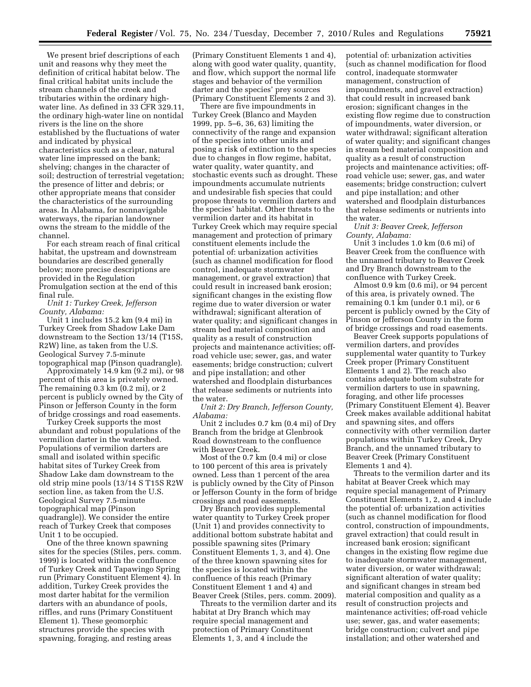We present brief descriptions of each unit and reasons why they meet the definition of critical habitat below. The final critical habitat units include the stream channels of the creek and tributaries within the ordinary highwater line. As defined in 33 CFR 329.11, the ordinary high-water line on nontidal rivers is the line on the shore established by the fluctuations of water and indicated by physical characteristics such as a clear, natural water line impressed on the bank; shelving; changes in the character of soil; destruction of terrestrial vegetation; the presence of litter and debris; or other appropriate means that consider the characteristics of the surrounding areas. In Alabama, for nonnavigable waterways, the riparian landowner owns the stream to the middle of the channel.

For each stream reach of final critical habitat, the upstream and downstream boundaries are described generally below; more precise descriptions are provided in the Regulation Promulgation section at the end of this final rule.

*Unit 1: Turkey Creek, Jefferson County, Alabama:* 

Unit 1 includes 15.2 km (9.4 mi) in Turkey Creek from Shadow Lake Dam downstream to the Section 13/14 (T15S, R2W) line, as taken from the U.S. Geological Survey 7.5-minute topographical map (Pinson quadrangle).

Approximately 14.9 km (9.2 mi), or 98 percent of this area is privately owned. The remaining 0.3 km (0.2 mi), or 2 percent is publicly owned by the City of Pinson or Jefferson County in the form of bridge crossings and road easements.

Turkey Creek supports the most abundant and robust populations of the vermilion darter in the watershed. Populations of vermilion darters are small and isolated within specific habitat sites of Turkey Creek from Shadow Lake dam downstream to the old strip mine pools (13/14 S T15S R2W section line, as taken from the U.S. Geological Survey 7.5-minute topographical map (Pinson quadrangle)). We consider the entire reach of Turkey Creek that composes Unit 1 to be occupied.

One of the three known spawning sites for the species (Stiles, pers. comm. 1999) is located within the confluence of Turkey Creek and Tapawingo Spring run (Primary Constituent Element 4). In addition, Turkey Creek provides the most darter habitat for the vermilion darters with an abundance of pools, riffles, and runs (Primary Constituent Element 1). These geomorphic structures provide the species with spawning, foraging, and resting areas

(Primary Constituent Elements 1 and 4), along with good water quality, quantity, and flow, which support the normal life stages and behavior of the vermilion darter and the species' prey sources (Primary Constituent Elements 2 and 3).

There are five impoundments in Turkey Creek (Blanco and Mayden 1999, pp. 5–6, 36, 63) limiting the connectivity of the range and expansion of the species into other units and posing a risk of extinction to the species due to changes in flow regime, habitat, water quality, water quantity, and stochastic events such as drought. These impoundments accumulate nutrients and undesirable fish species that could propose threats to vermilion darters and the species' habitat. Other threats to the vermilion darter and its habitat in Turkey Creek which may require special management and protection of primary constituent elements include the potential of: urbanization activities (such as channel modification for flood control, inadequate stormwater management, or gravel extraction) that could result in increased bank erosion; significant changes in the existing flow regime due to water diversion or water withdrawal; significant alteration of water quality; and significant changes in stream bed material composition and quality as a result of construction projects and maintenance activities; offroad vehicle use; sewer, gas, and water easements; bridge construction; culvert and pipe installation; and other watershed and floodplain disturbances that release sediments or nutrients into the water.

*Unit 2: Dry Branch, Jefferson County, Alabama:* 

Unit 2 includes 0.7 km (0.4 mi) of Dry Branch from the bridge at Glenbrook Road downstream to the confluence with Beaver Creek.

Most of the 0.7 km (0.4 mi) or close to 100 percent of this area is privately owned. Less than 1 percent of the area is publicly owned by the City of Pinson or Jefferson County in the form of bridge crossings and road easements.

Dry Branch provides supplemental water quantity to Turkey Creek proper (Unit 1) and provides connectivity to additional bottom substrate habitat and possible spawning sites (Primary Constituent Elements 1, 3, and 4). One of the three known spawning sites for the species is located within the confluence of this reach (Primary Constituent Element 1 and 4) and Beaver Creek (Stiles, pers. comm. 2009).

Threats to the vermilion darter and its habitat at Dry Branch which may require special management and protection of Primary Constituent Elements 1, 3, and 4 include the

potential of: urbanization activities (such as channel modification for flood control, inadequate stormwater management, construction of impoundments, and gravel extraction) that could result in increased bank erosion; significant changes in the existing flow regime due to construction of impoundments, water diversion, or water withdrawal; significant alteration of water quality; and significant changes in stream bed material composition and quality as a result of construction projects and maintenance activities; offroad vehicle use; sewer, gas, and water easements; bridge construction; culvert and pipe installation; and other watershed and floodplain disturbances that release sediments or nutrients into the water.

*Unit 3: Beaver Creek, Jefferson County, Alabama:* 

Unit 3 includes 1.0 km (0.6 mi) of Beaver Creek from the confluence with the unnamed tributary to Beaver Creek and Dry Branch downstream to the confluence with Turkey Creek.

Almost 0.9 km (0.6 mi), or 94 percent of this area, is privately owned. The remaining 0.1 km (under 0.1 mi), or 6 percent is publicly owned by the City of Pinson or Jefferson County in the form of bridge crossings and road easements.

Beaver Creek supports populations of vermilion darters, and provides supplemental water quantity to Turkey Creek proper (Primary Constituent Elements 1 and 2). The reach also contains adequate bottom substrate for vermilion darters to use in spawning, foraging, and other life processes (Primary Constituent Element 4). Beaver Creek makes available additional habitat and spawning sites, and offers connectivity with other vermilion darter populations within Turkey Creek, Dry Branch, and the unnamed tributary to Beaver Creek (Primary Constituent Elements 1 and 4).

Threats to the vermilion darter and its habitat at Beaver Creek which may require special management of Primary Constituent Elements 1, 2, and 4 include the potential of: urbanization activities (such as channel modification for flood control, construction of impoundments, gravel extraction) that could result in increased bank erosion; significant changes in the existing flow regime due to inadequate stormwater management, water diversion, or water withdrawal; significant alteration of water quality; and significant changes in stream bed material composition and quality as a result of construction projects and maintenance activities; off-road vehicle use; sewer, gas, and water easements; bridge construction; culvert and pipe installation; and other watershed and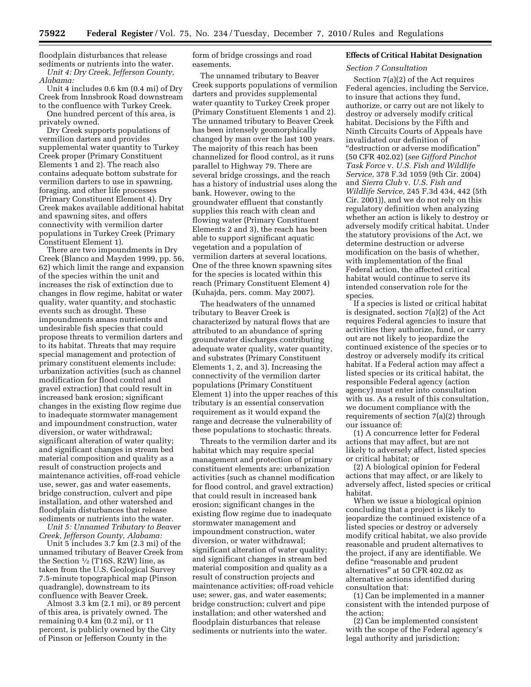floodplain disturbances that release sediments or nutrients into the water. *Unit 4: Dry Creek, Jefferson County, Alabama:* 

Unit 4 includes 0.6 km (0.4 mi) of Dry Creek from Innsbrook Road downstream to the confluence with Turkey Creek.

One hundred percent of this area, is privately owned.

Dry Creek supports populations of vermilion darters and provides supplemental water quantity to Turkey Creek proper (Primary Constituent Elements 1 and 2). The reach also contains adequate bottom substrate for vermilion darters to use in spawning, foraging, and other life processes (Primary Constituent Element 4). Dry Creek makes available additional habitat and spawning sites, and offers connectivity with vermilion darter populations in Turkey Creek (Primary Constituent Element 1).

There are two impoundments in Dry Creek (Blanco and Mayden 1999, pp. 56, 62) which limit the range and expansion of the species within the unit and increases the risk of extinction due to changes in flow regime, habitat or water quality, water quantity, and stochastic events such as drought. These impoundments amass nutrients and undesirable fish species that could propose threats to vermilion darters and to its habitat. Threats that may require special management and protection of primary constituent elements include: urbanization activities (such as channel modification for flood control and gravel extraction) that could result in increased bank erosion; significant changes in the existing flow regime due to inadequate stormwater management and impoundment construction, water diversion, or water withdrawal; significant alteration of water quality; and significant changes in stream bed material composition and quality as a result of construction projects and maintenance activities, off-road vehicle use, sewer, gas and water easements, bridge construction, culvert and pipe installation, and other watershed and floodplain disturbances that release sediments or nutrients into the water.

*Unit 5: Unnamed Tributary to Beaver Creek, Jefferson County, Alabama:* 

Unit 5 includes 3.7 km (2.3 mi) of the unnamed tributary of Beaver Creek from the Section  $\frac{1}{2}$  (T16S, R2W) line, as taken from the U.S. Geological Survey 7.5-minute topographical map (Pinson quadrangle), downstream to its confluence with Beaver Creek.

Almost 3.3 km (2.1 mi), or 89 percent of this area, is privately owned. The remaining 0.4 km (0.2 mi), or 11 percent, is publicly owned by the City of Pinson or Jefferson County in the

form of bridge crossings and road easements.

The unnamed tributary to Beaver Creek supports populations of vermilion darters and provides supplemental water quantity to Turkey Creek proper (Primary Constituent Elements 1 and 2). The unnamed tributary to Beaver Creek has been intensely geomorphically changed by man over the last 100 years. The majority of this reach has been channelized for flood control, as it runs parallel to Highway 79. There are several bridge crossings, and the reach has a history of industrial uses along the bank. However, owing to the groundwater effluent that constantly supplies this reach with clean and flowing water (Primary Constituent Elements 2 and 3), the reach has been able to support significant aquatic vegetation and a population of vermilion darters at several locations. One of the three known spawning sites for the species is located within this reach (Primary Constituent Element 4) (Kuhajda, pers. comm. May 2007).

The headwaters of the unnamed tributary to Beaver Creek is characterized by natural flows that are attributed to an abundance of spring groundwater discharges contributing adequate water quality, water quantity, and substrates (Primary Constituent Elements 1, 2, and 3). Increasing the connectivity of the vermilion darter populations (Primary Constituent Element 1) into the upper reaches of this tributary is an essential conservation requirement as it would expand the range and decrease the vulnerability of these populations to stochastic threats.

Threats to the vermilion darter and its habitat which may require special management and protection of primary constituent elements are: urbanization activities (such as channel modification for flood control, and gravel extraction) that could result in increased bank erosion; significant changes in the existing flow regime due to inadequate stormwater management and impoundment construction, water diversion, or water withdrawal; significant alteration of water quality; and significant changes in stream bed material composition and quality as a result of construction projects and maintenance activities; off-road vehicle use; sewer, gas, and water easements; bridge construction; culvert and pipe installation; and other watershed and floodplain disturbances that release sediments or nutrients into the water.

#### **Effects of Critical Habitat Designation**

## *Section 7 Consultation*

Section 7(a)(2) of the Act requires Federal agencies, including the Service, to insure that actions they fund, authorize, or carry out are not likely to destroy or adversely modify critical habitat. Decisions by the Fifth and Ninth Circuits Courts of Appeals have invalidated our definition of ''destruction or adverse modification'' (50 CFR 402.02) (*see Gifford Pinchot Task Force* v. *U.S. Fish and Wildlife Service,* 378 F.3d 1059 (9th Cir. 2004) and *Sierra Club* v. *U.S. Fish and Wildlife Service,* 245 F.3d 434, 442 (5th Cir. 2001)), and we do not rely on this regulatory definition when analyzing whether an action is likely to destroy or adversely modify critical habitat. Under the statutory provisions of the Act, we determine destruction or adverse modification on the basis of whether, with implementation of the final Federal action, the affected critical habitat would continue to serve its intended conservation role for the species.

If a species is listed or critical habitat is designated, section 7(a)(2) of the Act requires Federal agencies to insure that activities they authorize, fund, or carry out are not likely to jeopardize the continued existence of the species or to destroy or adversely modify its critical habitat. If a Federal action may affect a listed species or its critical habitat, the responsible Federal agency (action agency) must enter into consultation with us. As a result of this consultation, we document compliance with the requirements of section 7(a)(2) through our issuance of:

(1) A concurrence letter for Federal actions that may affect, but are not likely to adversely affect, listed species or critical habitat; or

(2) A biological opinion for Federal actions that may affect, or are likely to adversely affect, listed species or critical habitat.

When we issue a biological opinion concluding that a project is likely to jeopardize the continued existence of a listed species or destroy or adversely modify critical habitat, we also provide reasonable and prudent alternatives to the project, if any are identifiable. We define "reasonable and prudent alternatives'' at 50 CFR 402.02 as alternative actions identified during consultation that:

(1) Can be implemented in a manner consistent with the intended purpose of the action;

(2) Can be implemented consistent with the scope of the Federal agency's legal authority and jurisdiction;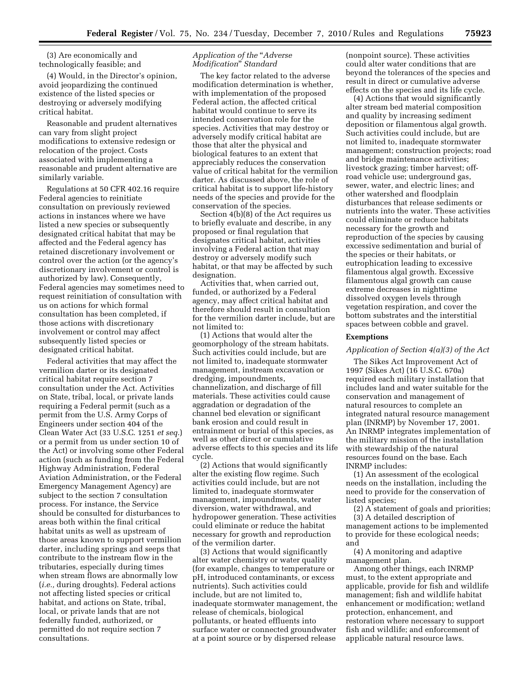(3) Are economically and technologically feasible; and

(4) Would, in the Director's opinion, avoid jeopardizing the continued existence of the listed species or destroying or adversely modifying critical habitat.

Reasonable and prudent alternatives can vary from slight project modifications to extensive redesign or relocation of the project. Costs associated with implementing a reasonable and prudent alternative are similarly variable.

Regulations at 50 CFR 402.16 require Federal agencies to reinitiate consultation on previously reviewed actions in instances where we have listed a new species or subsequently designated critical habitat that may be affected and the Federal agency has retained discretionary involvement or control over the action (or the agency's discretionary involvement or control is authorized by law). Consequently, Federal agencies may sometimes need to request reinitiation of consultation with us on actions for which formal consultation has been completed, if those actions with discretionary involvement or control may affect subsequently listed species or designated critical habitat.

Federal activities that may affect the vermilion darter or its designated critical habitat require section 7 consultation under the Act. Activities on State, tribal, local, or private lands requiring a Federal permit (such as a permit from the U.S. Army Corps of Engineers under section 404 of the Clean Water Act (33 U.S.C. 1251 *et seq.*) or a permit from us under section 10 of the Act) or involving some other Federal action (such as funding from the Federal Highway Administration, Federal Aviation Administration, or the Federal Emergency Management Agency) are subject to the section 7 consultation process. For instance, the Service should be consulted for disturbances to areas both within the final critical habitat units as well as upstream of those areas known to support vermilion darter, including springs and seeps that contribute to the instream flow in the tributaries, especially during times when stream flows are abnormally low (*i.e.,* during droughts). Federal actions not affecting listed species or critical habitat, and actions on State, tribal, local, or private lands that are not federally funded, authorized, or permitted do not require section 7 consultations.

## *Application of the* ''*Adverse Modification*'' *Standard*

The key factor related to the adverse modification determination is whether, with implementation of the proposed Federal action, the affected critical habitat would continue to serve its intended conservation role for the species. Activities that may destroy or adversely modify critical habitat are those that alter the physical and biological features to an extent that appreciably reduces the conservation value of critical habitat for the vermilion darter. As discussed above, the role of critical habitat is to support life-history needs of the species and provide for the conservation of the species.

Section 4(b)(8) of the Act requires us to briefly evaluate and describe, in any proposed or final regulation that designates critical habitat, activities involving a Federal action that may destroy or adversely modify such habitat, or that may be affected by such designation.

Activities that, when carried out, funded, or authorized by a Federal agency, may affect critical habitat and therefore should result in consultation for the vermilion darter include, but are not limited to:

(1) Actions that would alter the geomorphology of the stream habitats. Such activities could include, but are not limited to, inadequate stormwater management, instream excavation or dredging, impoundments, channelization, and discharge of fill materials. These activities could cause aggradation or degradation of the channel bed elevation or significant bank erosion and could result in entrainment or burial of this species, as well as other direct or cumulative adverse effects to this species and its life cycle.

(2) Actions that would significantly alter the existing flow regime. Such activities could include, but are not limited to, inadequate stormwater management, impoundments, water diversion, water withdrawal, and hydropower generation. These activities could eliminate or reduce the habitat necessary for growth and reproduction of the vermilion darter.

(3) Actions that would significantly alter water chemistry or water quality (for example, changes to temperature or pH, introduced contaminants, or excess nutrients). Such activities could include, but are not limited to, inadequate stormwater management, the release of chemicals, biological pollutants, or heated effluents into surface water or connected groundwater at a point source or by dispersed release

(nonpoint source). These activities could alter water conditions that are beyond the tolerances of the species and result in direct or cumulative adverse effects on the species and its life cycle.

(4) Actions that would significantly alter stream bed material composition and quality by increasing sediment deposition or filamentous algal growth. Such activities could include, but are not limited to, inadequate stormwater management; construction projects; road and bridge maintenance activities; livestock grazing; timber harvest; offroad vehicle use; underground gas, sewer, water, and electric lines; and other watershed and floodplain disturbances that release sediments or nutrients into the water. These activities could eliminate or reduce habitats necessary for the growth and reproduction of the species by causing excessive sedimentation and burial of the species or their habitats, or eutrophication leading to excessive filamentous algal growth. Excessive filamentous algal growth can cause extreme decreases in nighttime dissolved oxygen levels through vegetation respiration, and cover the bottom substrates and the interstitial spaces between cobble and gravel.

## **Exemptions**

## *Application of Section 4(a)(3) of the Act*

The Sikes Act Improvement Act of 1997 (Sikes Act) (16 U.S.C. 670a) required each military installation that includes land and water suitable for the conservation and management of natural resources to complete an integrated natural resource management plan (INRMP) by November 17, 2001. An INRMP integrates implementation of the military mission of the installation with stewardship of the natural resources found on the base. Each INRMP includes:

(1) An assessment of the ecological needs on the installation, including the need to provide for the conservation of listed species;

(2) A statement of goals and priorities; (3) A detailed description of

management actions to be implemented to provide for these ecological needs; and

(4) A monitoring and adaptive management plan.

Among other things, each INRMP must, to the extent appropriate and applicable, provide for fish and wildlife management; fish and wildlife habitat enhancement or modification; wetland protection, enhancement, and restoration where necessary to support fish and wildlife; and enforcement of applicable natural resource laws.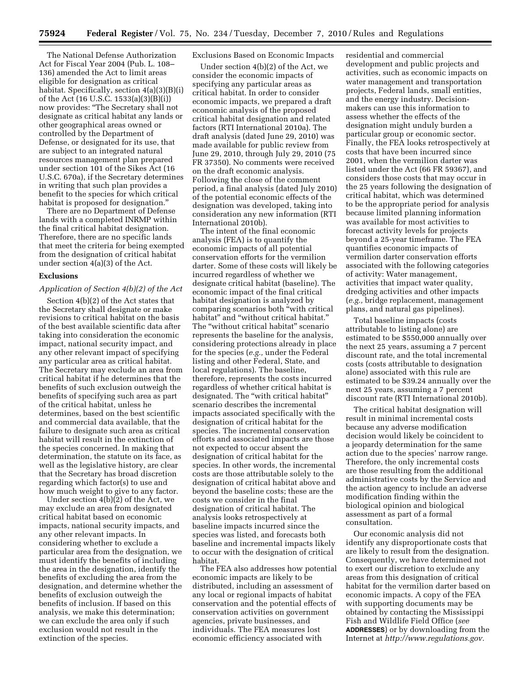The National Defense Authorization Act for Fiscal Year 2004 (Pub. L. 108– 136) amended the Act to limit areas eligible for designation as critical habitat. Specifically, section 4(a)(3)(B)(i) of the Act (16 U.S.C. 1533(a)(3)(B)(i)) now provides: ''The Secretary shall not designate as critical habitat any lands or other geographical areas owned or controlled by the Department of Defense, or designated for its use, that are subject to an integrated natural resources management plan prepared under section 101 of the Sikes Act (16 U.S.C. 670a), if the Secretary determines in writing that such plan provides a benefit to the species for which critical habitat is proposed for designation.''

There are no Department of Defense lands with a completed INRMP within the final critical habitat designation. Therefore, there are no specific lands that meet the criteria for being exempted from the designation of critical habitat under section 4(a)(3) of the Act.

#### **Exclusions**

## *Application of Section 4(b)(2) of the Act*

Section 4(b)(2) of the Act states that the Secretary shall designate or make revisions to critical habitat on the basis of the best available scientific data after taking into consideration the economic impact, national security impact, and any other relevant impact of specifying any particular area as critical habitat. The Secretary may exclude an area from critical habitat if he determines that the benefits of such exclusion outweigh the benefits of specifying such area as part of the critical habitat, unless he determines, based on the best scientific and commercial data available, that the failure to designate such area as critical habitat will result in the extinction of the species concerned. In making that determination, the statute on its face, as well as the legislative history, are clear that the Secretary has broad discretion regarding which factor(s) to use and how much weight to give to any factor.

Under section 4(b)(2) of the Act, we may exclude an area from designated critical habitat based on economic impacts, national security impacts, and any other relevant impacts. In considering whether to exclude a particular area from the designation, we must identify the benefits of including the area in the designation, identify the benefits of excluding the area from the designation, and determine whether the benefits of exclusion outweigh the benefits of inclusion. If based on this analysis, we make this determination; we can exclude the area only if such exclusion would not result in the extinction of the species.

## Exclusions Based on Economic Impacts

Under section 4(b)(2) of the Act, we consider the economic impacts of specifying any particular areas as critical habitat. In order to consider economic impacts, we prepared a draft economic analysis of the proposed critical habitat designation and related factors (RTI International 2010a). The draft analysis (dated June 29, 2010) was made available for public review from June 29, 2010, through July 29, 2010 (75 FR 37350). No comments were received on the draft economic analysis. Following the close of the comment period, a final analysis (dated July 2010) of the potential economic effects of the designation was developed, taking into consideration any new information (RTI International 2010b).

The intent of the final economic analysis (FEA) is to quantify the economic impacts of all potential conservation efforts for the vermilion darter. Some of these costs will likely be incurred regardless of whether we designate critical habitat (baseline). The economic impact of the final critical habitat designation is analyzed by comparing scenarios both ''with critical habitat'' and ''without critical habitat.'' The ''without critical habitat'' scenario represents the baseline for the analysis, considering protections already in place for the species (*e.g.,* under the Federal listing and other Federal, State, and local regulations). The baseline, therefore, represents the costs incurred regardless of whether critical habitat is designated. The "with critical habitat" scenario describes the incremental impacts associated specifically with the designation of critical habitat for the species. The incremental conservation efforts and associated impacts are those not expected to occur absent the designation of critical habitat for the species. In other words, the incremental costs are those attributable solely to the designation of critical habitat above and beyond the baseline costs; these are the costs we consider in the final designation of critical habitat. The analysis looks retrospectively at baseline impacts incurred since the species was listed, and forecasts both baseline and incremental impacts likely to occur with the designation of critical habitat.

The FEA also addresses how potential economic impacts are likely to be distributed, including an assessment of any local or regional impacts of habitat conservation and the potential effects of conservation activities on government agencies, private businesses, and individuals. The FEA measures lost economic efficiency associated with

residential and commercial development and public projects and activities, such as economic impacts on water management and transportation projects, Federal lands, small entities, and the energy industry. Decisionmakers can use this information to assess whether the effects of the designation might unduly burden a particular group or economic sector. Finally, the FEA looks retrospectively at costs that have been incurred since 2001, when the vermilion darter was listed under the Act (66 FR 59367), and considers those costs that may occur in the 25 years following the designation of critical habitat, which was determined to be the appropriate period for analysis because limited planning information was available for most activities to forecast activity levels for projects beyond a 25-year timeframe. The FEA quantifies economic impacts of vermilion darter conservation efforts associated with the following categories of activity: Water management, activities that impact water quality, dredging activities and other impacts (*e.g.,* bridge replacement, management plans, and natural gas pipelines).

Total baseline impacts (costs attributable to listing alone) are estimated to be \$550,000 annually over the next 25 years, assuming a 7 percent discount rate, and the total incremental costs (costs attributable to designation alone) associated with this rule are estimated to be \$39.24 annually over the next 25 years, assuming a 7 percent discount rate (RTI International 2010b).

The critical habitat designation will result in minimal incremental costs because any adverse modification decision would likely be coincident to a jeopardy determination for the same action due to the species' narrow range. Therefore, the only incremental costs are those resulting from the additional administrative costs by the Service and the action agency to include an adverse modification finding within the biological opinion and biological assessment as part of a formal consultation.

Our economic analysis did not identify any disproportionate costs that are likely to result from the designation. Consequently, we have determined not to exert our discretion to exclude any areas from this designation of critical habitat for the vermilion darter based on economic impacts. A copy of the FEA with supporting documents may be obtained by contacting the Mississippi Fish and Wildlife Field Office (*see*  **ADDRESSES**) or by downloading from the Internet at *[http://www.regulations.gov.](http://www.regulations.gov)*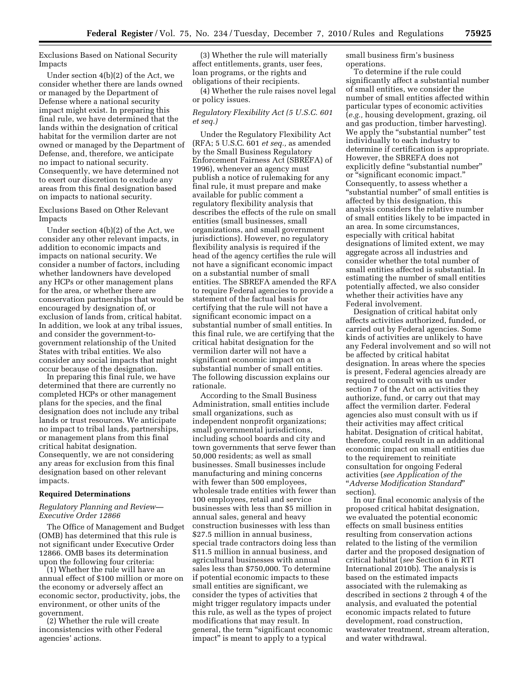Exclusions Based on National Security Impacts

Under section 4(b)(2) of the Act, we consider whether there are lands owned or managed by the Department of Defense where a national security impact might exist. In preparing this final rule, we have determined that the lands within the designation of critical habitat for the vermilion darter are not owned or managed by the Department of Defense, and, therefore, we anticipate no impact to national security. Consequently, we have determined not to exert our discretion to exclude any areas from this final designation based on impacts to national security.

Exclusions Based on Other Relevant Impacts

Under section 4(b)(2) of the Act, we consider any other relevant impacts, in addition to economic impacts and impacts on national security. We consider a number of factors, including whether landowners have developed any HCPs or other management plans for the area, or whether there are conservation partnerships that would be encouraged by designation of, or exclusion of lands from, critical habitat. In addition, we look at any tribal issues, and consider the government-togovernment relationship of the United States with tribal entities. We also consider any social impacts that might occur because of the designation.

In preparing this final rule, we have determined that there are currently no completed HCPs or other management plans for the species, and the final designation does not include any tribal lands or trust resources. We anticipate no impact to tribal lands, partnerships, or management plans from this final critical habitat designation. Consequently, we are not considering any areas for exclusion from this final designation based on other relevant impacts.

#### **Required Determinations**

### *Regulatory Planning and Review— Executive Order 12866*

The Office of Management and Budget (OMB) has determined that this rule is not significant under Executive Order 12866. OMB bases its determination upon the following four criteria:

(1) Whether the rule will have an annual effect of \$100 million or more on the economy or adversely affect an economic sector, productivity, jobs, the environment, or other units of the government.

(2) Whether the rule will create inconsistencies with other Federal agencies' actions.

(3) Whether the rule will materially affect entitlements, grants, user fees, loan programs, or the rights and obligations of their recipients.

(4) Whether the rule raises novel legal or policy issues.

### *Regulatory Flexibility Act (5 U.S.C. 601 et seq.)*

Under the Regulatory Flexibility Act (RFA; 5 U.S.C. 601 *et seq.,* as amended by the Small Business Regulatory Enforcement Fairness Act (SBREFA) of 1996), whenever an agency must publish a notice of rulemaking for any final rule, it must prepare and make available for public comment a regulatory flexibility analysis that describes the effects of the rule on small entities (small businesses, small organizations, and small government jurisdictions). However, no regulatory flexibility analysis is required if the head of the agency certifies the rule will not have a significant economic impact on a substantial number of small entities. The SBREFA amended the RFA to require Federal agencies to provide a statement of the factual basis for certifying that the rule will not have a significant economic impact on a substantial number of small entities. In this final rule, we are certifying that the critical habitat designation for the vermilion darter will not have a significant economic impact on a substantial number of small entities. The following discussion explains our rationale.

According to the Small Business Administration, small entities include small organizations, such as independent nonprofit organizations; small governmental jurisdictions, including school boards and city and town governments that serve fewer than 50,000 residents; as well as small businesses. Small businesses include manufacturing and mining concerns with fewer than 500 employees, wholesale trade entities with fewer than 100 employees, retail and service businesses with less than \$5 million in annual sales, general and heavy construction businesses with less than \$27.5 million in annual business, special trade contractors doing less than \$11.5 million in annual business, and agricultural businesses with annual sales less than \$750,000. To determine if potential economic impacts to these small entities are significant, we consider the types of activities that might trigger regulatory impacts under this rule, as well as the types of project modifications that may result. In general, the term ''significant economic impact'' is meant to apply to a typical

small business firm's business operations.

To determine if the rule could significantly affect a substantial number of small entities, we consider the number of small entities affected within particular types of economic activities (*e.g.,* housing development, grazing, oil and gas production, timber harvesting). We apply the "substantial number" test individually to each industry to determine if certification is appropriate. However, the SBREFA does not explicitly define "substantial number" or ''significant economic impact.'' Consequently, to assess whether a ''substantial number'' of small entities is affected by this designation, this analysis considers the relative number of small entities likely to be impacted in an area. In some circumstances, especially with critical habitat designations of limited extent, we may aggregate across all industries and consider whether the total number of small entities affected is substantial. In estimating the number of small entities potentially affected, we also consider whether their activities have any Federal involvement.

Designation of critical habitat only affects activities authorized, funded, or carried out by Federal agencies. Some kinds of activities are unlikely to have any Federal involvement and so will not be affected by critical habitat designation. In areas where the species is present, Federal agencies already are required to consult with us under section 7 of the Act on activities they authorize, fund, or carry out that may affect the vermilion darter. Federal agencies also must consult with us if their activities may affect critical habitat. Designation of critical habitat, therefore, could result in an additional economic impact on small entities due to the requirement to reinitiate consultation for ongoing Federal activities (*see Application of the*  ''*Adverse Modification Standard*'' section).

In our final economic analysis of the proposed critical habitat designation, we evaluated the potential economic effects on small business entities resulting from conservation actions related to the listing of the vermilion darter and the proposed designation of critical habitat (*see* Section 6 in RTI International 2010b). The analysis is based on the estimated impacts associated with the rulemaking as described in sections 2 through 4 of the analysis, and evaluated the potential economic impacts related to future development, road construction, wastewater treatment, stream alteration, and water withdrawal.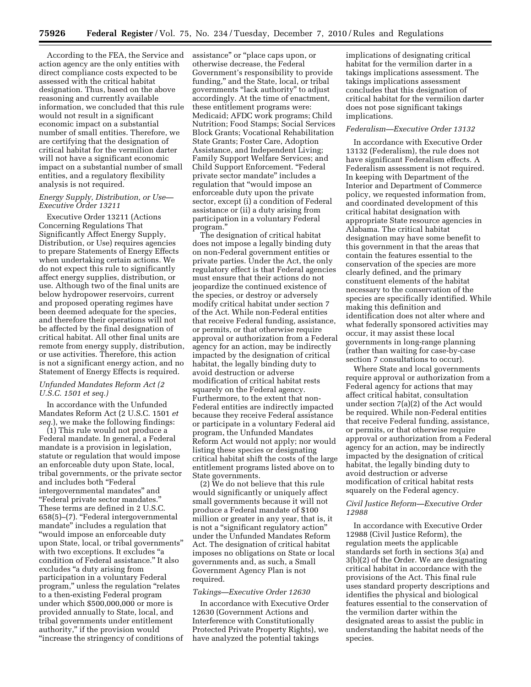According to the FEA, the Service and action agency are the only entities with direct compliance costs expected to be assessed with the critical habitat designation. Thus, based on the above reasoning and currently available information, we concluded that this rule would not result in a significant economic impact on a substantial number of small entities. Therefore, we are certifying that the designation of critical habitat for the vermilion darter will not have a significant economic impact on a substantial number of small entities, and a regulatory flexibility analysis is not required.

## *Energy Supply, Distribution, or Use— Executive Order 13211*

Executive Order 13211 (Actions Concerning Regulations That Significantly Affect Energy Supply, Distribution, or Use) requires agencies to prepare Statements of Energy Effects when undertaking certain actions. We do not expect this rule to significantly affect energy supplies, distribution, or use. Although two of the final units are below hydropower reservoirs, current and proposed operating regimes have been deemed adequate for the species, and therefore their operations will not be affected by the final designation of critical habitat. All other final units are remote from energy supply, distribution, or use activities. Therefore, this action is not a significant energy action, and no Statement of Energy Effects is required.

## *Unfunded Mandates Reform Act (2 U.S.C. 1501 et seq.)*

In accordance with the Unfunded Mandates Reform Act (2 U.S.C. 1501 *et seq.*), we make the following findings:

(1) This rule would not produce a Federal mandate. In general, a Federal mandate is a provision in legislation, statute or regulation that would impose an enforceable duty upon State, local, tribal governments, or the private sector and includes both ''Federal intergovernmental mandates'' and ''Federal private sector mandates.'' These terms are defined in 2 U.S.C. 658(5)–(7). ''Federal intergovernmental mandate'' includes a regulation that ''would impose an enforceable duty upon State, local, or tribal governments'' with two exceptions. It excludes "a condition of Federal assistance.'' It also excludes ''a duty arising from participation in a voluntary Federal program,'' unless the regulation ''relates to a then-existing Federal program under which \$500,000,000 or more is provided annually to State, local, and tribal governments under entitlement authority,'' if the provision would ''increase the stringency of conditions of assistance'' or ''place caps upon, or otherwise decrease, the Federal Government's responsibility to provide funding,'' and the State, local, or tribal governments ''lack authority'' to adjust accordingly. At the time of enactment, these entitlement programs were: Medicaid; AFDC work programs; Child Nutrition; Food Stamps; Social Services Block Grants; Vocational Rehabilitation State Grants; Foster Care, Adoption Assistance, and Independent Living; Family Support Welfare Services; and Child Support Enforcement. ''Federal private sector mandate'' includes a regulation that ''would impose an enforceable duty upon the private sector, except (i) a condition of Federal assistance or (ii) a duty arising from participation in a voluntary Federal program.''

The designation of critical habitat does not impose a legally binding duty on non-Federal government entities or private parties. Under the Act, the only regulatory effect is that Federal agencies must ensure that their actions do not jeopardize the continued existence of the species, or destroy or adversely modify critical habitat under section 7 of the Act. While non-Federal entities that receive Federal funding, assistance, or permits, or that otherwise require approval or authorization from a Federal agency for an action, may be indirectly impacted by the designation of critical habitat, the legally binding duty to avoid destruction or adverse modification of critical habitat rests squarely on the Federal agency. Furthermore, to the extent that non-Federal entities are indirectly impacted because they receive Federal assistance or participate in a voluntary Federal aid program, the Unfunded Mandates Reform Act would not apply; nor would listing these species or designating critical habitat shift the costs of the large entitlement programs listed above on to State governments.

(2) We do not believe that this rule would significantly or uniquely affect small governments because it will not produce a Federal mandate of \$100 million or greater in any year, that is, it is not a "significant regulatory action" under the Unfunded Mandates Reform Act. The designation of critical habitat imposes no obligations on State or local governments and, as such, a Small Government Agency Plan is not required.

#### *Takings—Executive Order 12630*

In accordance with Executive Order 12630 (Government Actions and Interference with Constitutionally Protected Private Property Rights), we have analyzed the potential takings

implications of designating critical habitat for the vermilion darter in a takings implications assessment. The takings implications assessment concludes that this designation of critical habitat for the vermilion darter does not pose significant takings implications.

## *Federalism—Executive Order 13132*

In accordance with Executive Order 13132 (Federalism), the rule does not have significant Federalism effects. A Federalism assessment is not required. In keeping with Department of the Interior and Department of Commerce policy, we requested information from, and coordinated development of this critical habitat designation with appropriate State resource agencies in Alabama. The critical habitat designation may have some benefit to this government in that the areas that contain the features essential to the conservation of the species are more clearly defined, and the primary constituent elements of the habitat necessary to the conservation of the species are specifically identified. While making this definition and identification does not alter where and what federally sponsored activities may occur, it may assist these local governments in long-range planning (rather than waiting for case-by-case section 7 consultations to occur).

Where State and local governments require approval or authorization from a Federal agency for actions that may affect critical habitat, consultation under section 7(a)(2) of the Act would be required. While non-Federal entities that receive Federal funding, assistance, or permits, or that otherwise require approval or authorization from a Federal agency for an action, may be indirectly impacted by the designation of critical habitat, the legally binding duty to avoid destruction or adverse modification of critical habitat rests squarely on the Federal agency.

### *Civil Justice Reform—Executive Order 12988*

In accordance with Executive Order 12988 (Civil Justice Reform), the regulation meets the applicable standards set forth in sections 3(a) and 3(b)(2) of the Order. We are designating critical habitat in accordance with the provisions of the Act. This final rule uses standard property descriptions and identifies the physical and biological features essential to the conservation of the vermilion darter within the designated areas to assist the public in understanding the habitat needs of the species.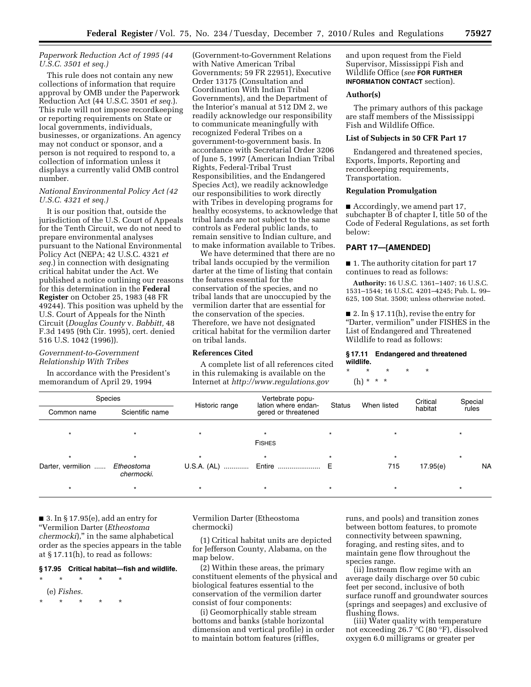## *Paperwork Reduction Act of 1995 (44 U.S.C. 3501 et seq.)*

This rule does not contain any new collections of information that require approval by OMB under the Paperwork Reduction Act (44 U.S.C. 3501 *et seq.*). This rule will not impose recordkeeping or reporting requirements on State or local governments, individuals, businesses, or organizations. An agency may not conduct or sponsor, and a person is not required to respond to, a collection of information unless it displays a currently valid OMB control number.

## *National Environmental Policy Act (42 U.S.C. 4321 et seq.)*

It is our position that, outside the jurisdiction of the U.S. Court of Appeals for the Tenth Circuit, we do not need to prepare environmental analyses pursuant to the National Environmental Policy Act (NEPA; 42 U.S.C. 4321 *et seq.*) in connection with designating critical habitat under the Act. We published a notice outlining our reasons for this determination in the **Federal Register** on October 25, 1983 (48 FR 49244). This position was upheld by the U.S. Court of Appeals for the Ninth Circuit (*Douglas County* v. *Babbitt,* 48 F.3d 1495 (9th Cir. 1995), cert. denied 516 U.S. 1042 (1996)).

### *Government-to-Government Relationship With Tribes*

In accordance with the President's memorandum of April 29, 1994

(Government-to-Government Relations with Native American Tribal Governments; 59 FR 22951), Executive Order 13175 (Consultation and Coordination With Indian Tribal Governments), and the Department of the Interior's manual at 512 DM 2, we readily acknowledge our responsibility to communicate meaningfully with recognized Federal Tribes on a government-to-government basis. In accordance with Secretarial Order 3206 of June 5, 1997 (American Indian Tribal Rights, Federal-Tribal Trust Responsibilities, and the Endangered Species Act), we readily acknowledge our responsibilities to work directly with Tribes in developing programs for healthy ecosystems, to acknowledge that tribal lands are not subject to the same controls as Federal public lands, to remain sensitive to Indian culture, and to make information available to Tribes.

We have determined that there are no tribal lands occupied by the vermilion darter at the time of listing that contain the features essential for the conservation of the species, and no tribal lands that are unoccupied by the vermilion darter that are essential for the conservation of the species. Therefore, we have not designated critical habitat for the vermilion darter on tribal lands.

# **References Cited**

A complete list of all references cited in this rulemaking is available on the Internet at *<http://www.regulations.gov>* 

and upon request from the Field Supervisor, Mississippi Fish and Wildlife Office (*see* **FOR FURTHER INFORMATION CONTACT** section).

#### **Author(s)**

The primary authors of this package are staff members of the Mississippi Fish and Wildlife Office.

## **List of Subjects in 50 CFR Part 17**

Endangered and threatened species, Exports, Imports, Reporting and recordkeeping requirements, Transportation.

## **Regulation Promulgation**

■ Accordingly, we amend part 17, subchapter B of chapter I, title 50 of the Code of Federal Regulations, as set forth below:

# **PART 17—[AMENDED]**

■ 1. The authority citation for part 17 continues to read as follows:

**Authority:** 16 U.S.C. 1361–1407; 16 U.S.C. 1531–1544; 16 U.S.C. 4201–4245; Pub. L. 99– 625, 100 Stat. 3500; unless otherwise noted.

 $\blacksquare$  2. In § 17.11(h), revise the entry for ''Darter, vermilion'' under FISHES in the List of Endangered and Threatened Wildlife to read as follows:

#### **§ 17.11 Endangered and threatened wildlife.**

\* \* \* \* \*

(h) \* \* \*

| Species           |                          |                | Vertebrate popu-                           |               |             | Critical | Special |           |  |  |
|-------------------|--------------------------|----------------|--------------------------------------------|---------------|-------------|----------|---------|-----------|--|--|
| Common name       | Scientific name          | Historic range | lation where endan-<br>gered or threatened | <b>Status</b> | When listed | habitat  | rules   |           |  |  |
|                   |                          |                | <b>FISHES</b>                              |               |             |          |         |           |  |  |
|                   |                          |                |                                            |               |             |          |         |           |  |  |
| Darter, vermilion | Etheostoma<br>chermocki. | U.S.A. (AL)    | Entire  E                                  |               | 715         | 17.95(e) |         | <b>NA</b> |  |  |
|                   |                          | $\star$        | $\star$                                    |               | $\star$     |          |         |           |  |  |

■ 3. In § 17.95(e), add an entry for ''Vermilion Darter (*Etheostoma chermocki*),'' in the same alphabetical order as the species appears in the table at § 17.11(h), to read as follows:

#### **§ 17.95 Critical habitat—fish and wildlife.**

\* \* \* \* \* (e) *Fishes.* 

\* \* \* \* \*

Vermilion Darter (Etheostoma chermocki)

(1) Critical habitat units are depicted for Jefferson County, Alabama, on the map below.

(2) Within these areas, the primary constituent elements of the physical and biological features essential to the conservation of the vermilion darter consist of four components:

(i) Geomorphically stable stream bottoms and banks (stable horizontal dimension and vertical profile) in order to maintain bottom features (riffles,

runs, and pools) and transition zones between bottom features, to promote connectivity between spawning, foraging, and resting sites, and to maintain gene flow throughout the species range.

(ii) Instream flow regime with an average daily discharge over 50 cubic feet per second, inclusive of both surface runoff and groundwater sources (springs and seepages) and exclusive of flushing flows.

(iii) Water quality with temperature not exceeding 26.7 °C (80 °F), dissolved oxygen 6.0 milligrams or greater per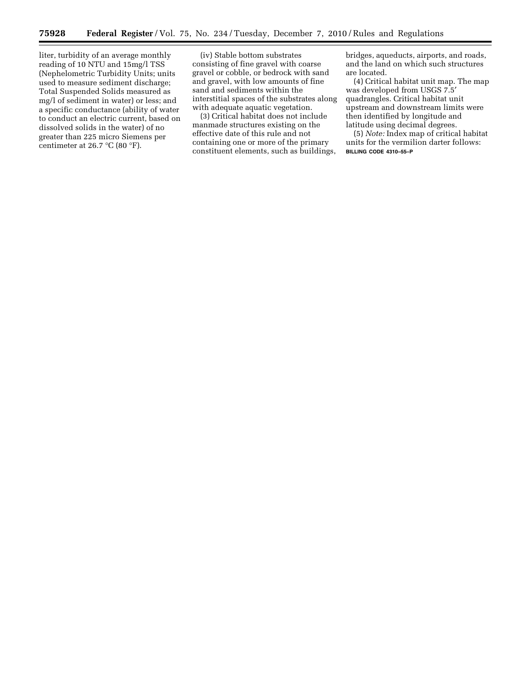liter, turbidity of an average monthly reading of 10 NTU and 15mg/l TSS (Nephelometric Turbidity Units; units used to measure sediment discharge; Total Suspended Solids measured as mg/l of sediment in water) or less; and a specific conductance (ability of water to conduct an electric current, based on dissolved solids in the water) of no greater than 225 micro Siemens per centimeter at 26.7  $\mathrm{C}$  (80  $\mathrm{F}$ ).

(iv) Stable bottom substrates consisting of fine gravel with coarse gravel or cobble, or bedrock with sand and gravel, with low amounts of fine sand and sediments within the interstitial spaces of the substrates along with adequate aquatic vegetation.

(3) Critical habitat does not include manmade structures existing on the effective date of this rule and not containing one or more of the primary constituent elements, such as buildings, bridges, aqueducts, airports, and roads, and the land on which such structures are located.

(4) Critical habitat unit map. The map was developed from USGS 7.5′ quadrangles. Critical habitat unit upstream and downstream limits were then identified by longitude and latitude using decimal degrees.

(5) *Note:* Index map of critical habitat units for the vermilion darter follows: **BILLING CODE 4310–55–P**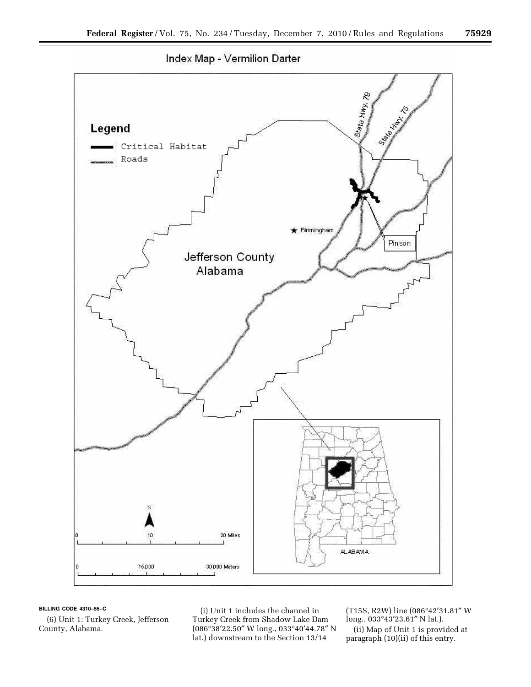

#### **BILLING CODE 4310–55–C**

(6) Unit 1: Turkey Creek, Jefferson County, Alabama.

(i) Unit 1 includes the channel in Turkey Creek from Shadow Lake Dam (086°38′22.50″ W long., 033°40′44.78″ N lat.) downstream to the Section 13/14

(T15S, R2W) line (086°42′31.81″ W long., 033°43′23.61″ N lat.). (ii) Map of Unit 1 is provided at paragraph (10)(ii) of this entry.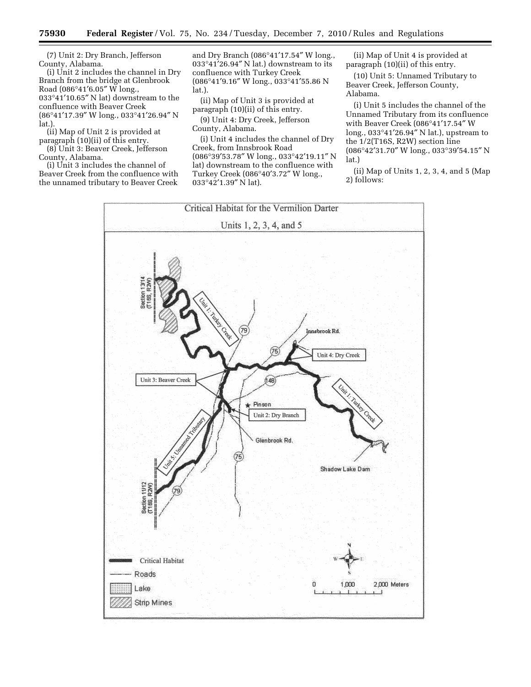(7) Unit 2: Dry Branch, Jefferson County, Alabama.

(i) Unit 2 includes the channel in Dry Branch from the bridge at Glenbrook Road (086°41′6.05″ W long., 033°41′10.65″ N lat) downstream to the confluence with Beaver Creek (86°41′17.39″ W long., 033°41′26.94″ N lat.).

(ii) Map of Unit 2 is provided at paragraph (10)(ii) of this entry.

(8) Unit 3: Beaver Creek, Jefferson County, Alabama.

(i) Unit 3 includes the channel of Beaver Creek from the confluence with the unnamed tributary to Beaver Creek

and Dry Branch (086°41′17.54″ W long., 033°41′26.94″ N lat.) downstream to its confluence with Turkey Creek (086°41′9.16″ W long., 033°41′55.86 N lat.).

(ii) Map of Unit 3 is provided at paragraph (10)(ii) of this entry.

(9) Unit 4: Dry Creek, Jefferson County, Alabama.

(i) Unit 4 includes the channel of Dry Creek, from Innsbrook Road (086°39′53.78″ W long., 033°42′19.11″ N lat) downstream to the confluence with Turkey Creek (086°40′3.72″ W long., 033°42′1.39″ N lat).

(ii) Map of Unit 4 is provided at paragraph (10)(ii) of this entry.

(10) Unit 5: Unnamed Tributary to Beaver Creek, Jefferson County, Alabama.

(i) Unit 5 includes the channel of the Unnamed Tributary from its confluence with Beaver Creek (086°41′17.54″ W long., 033°41′26.94″ N lat.), upstream to the 1/2(T16S, R2W) section line (086°42′31.70″ W long., 033°39′54.15″ N lat.)

(ii) Map of Units 1, 2, 3, 4, and 5 (Map 2) follows: